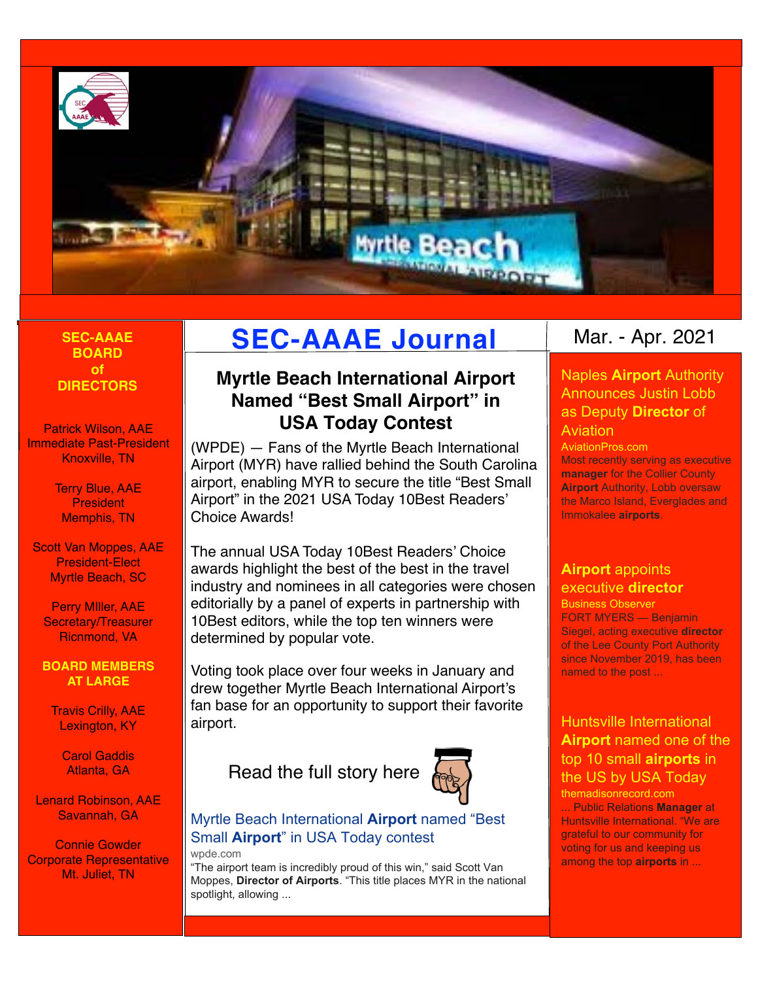

#### **BOARD of DIRECTORS**

Patrick Wilson, AAE Immediate Past-President Knoxville, TN

> Terry Blue, AAE **President** Memphis, TN

Scott Van Moppes, AAE President-Elect Myrtle Beach, SC

Perry MIller, AAE Secretary/Treasurer Ricnmond, VA

#### **BOARD MEMBERS AT LARGE**

Travis Crilly, AAE Lexington, KY

> Carol Gaddis Atlanta, GA

Lenard Robinson, AAE Savannah, GA

Connie Gowder Corporate Representative Mt. Juliet, TN

## **SEC-AAAE SEC-AAAE Journal**

#### **Myrtle Beach International Airport Named "Best Small Airport" in USA Today Contest**

(WPDE) — Fans of the Myrtle Beach International Airport (MYR) have rallied behind the South Carolina airport, enabling MYR to secure the title "Best Small Airport" in the 2021 USA Today 10Best Readers' Choice Awards!

The annual USA Today 10Best Readers' Choice awards highlight the best of the best in the travel industry and nominees in all categories were chosen editorially by a panel of experts in partnership with 10Best editors, while the top ten winners were determined by popular vote.

Voting took place over four weeks in January and drew together Myrtle Beach International Airport's fan base for an opportunity to support their favorite airport. **All airport** is a set of the set of the set of the Huntsville International

Read the full story here



#### [Myrtle Beach International](https://www.google.com/url?rct=j&sa=t&url=https://wpde.com/news/local/myrtle-beach-international-airport-named-best-small-airport-in-usa-today-contest&ct=ga&cd=CAEYACoUMTA4MDUyNDA0MTAyODEzMzY1OTcyHDE0ODBmMGNhZjliMjExMmU6Y29tOmVuOlVTOlI&usg=AFQjCNGV0Xpl-bx_s5M8n9vMdYG7C20ZbA) **[Airport](https://www.google.com/url?rct=j&sa=t&url=https://wpde.com/news/local/myrtle-beach-international-airport-named-best-small-airport-in-usa-today-contest&ct=ga&cd=CAEYACoUMTA4MDUyNDA0MTAyODEzMzY1OTcyHDE0ODBmMGNhZjliMjExMmU6Y29tOmVuOlVTOlI&usg=AFQjCNGV0Xpl-bx_s5M8n9vMdYG7C20ZbA)** [named "Best](https://www.google.com/url?rct=j&sa=t&url=https://wpde.com/news/local/myrtle-beach-international-airport-named-best-small-airport-in-usa-today-contest&ct=ga&cd=CAEYACoUMTA4MDUyNDA0MTAyODEzMzY1OTcyHDE0ODBmMGNhZjliMjExMmU6Y29tOmVuOlVTOlI&usg=AFQjCNGV0Xpl-bx_s5M8n9vMdYG7C20ZbA)  [Small](https://www.google.com/url?rct=j&sa=t&url=https://wpde.com/news/local/myrtle-beach-international-airport-named-best-small-airport-in-usa-today-contest&ct=ga&cd=CAEYACoUMTA4MDUyNDA0MTAyODEzMzY1OTcyHDE0ODBmMGNhZjliMjExMmU6Y29tOmVuOlVTOlI&usg=AFQjCNGV0Xpl-bx_s5M8n9vMdYG7C20ZbA) **[Airport](https://www.google.com/url?rct=j&sa=t&url=https://wpde.com/news/local/myrtle-beach-international-airport-named-best-small-airport-in-usa-today-contest&ct=ga&cd=CAEYACoUMTA4MDUyNDA0MTAyODEzMzY1OTcyHDE0ODBmMGNhZjliMjExMmU6Y29tOmVuOlVTOlI&usg=AFQjCNGV0Xpl-bx_s5M8n9vMdYG7C20ZbA)**[" in USA Today contest](https://www.google.com/url?rct=j&sa=t&url=https://wpde.com/news/local/myrtle-beach-international-airport-named-best-small-airport-in-usa-today-contest&ct=ga&cd=CAEYACoUMTA4MDUyNDA0MTAyODEzMzY1OTcyHDE0ODBmMGNhZjliMjExMmU6Y29tOmVuOlVTOlI&usg=AFQjCNGV0Xpl-bx_s5M8n9vMdYG7C20ZbA) wpde.com

"The airport team is incredibly proud of this win," said Scott Van Moppes, **Director of Airports**. "This title places MYR in the national spotlight, allowing ...

#### Mar. - Apr. 2021

#### [Naples](https://www.google.com/url?rct=j&sa=t&url=https://www.aviationpros.com/airports/press-release/21205870/naples-airport-authority-naples-airport-authority-announces-justin-lobb-as-deputy-director-of-aviation&ct=ga&cd=CAEYASoTMzk3MTMyNjQ1ODEyNDk1MTM1MDIcMTQ4MGYwY2FmOWIyMTEyZTpjb206ZW46VVM6Ug&usg=AFQjCNG3WEE60eM4W-JiJrjtgyQx9rL3mQ) **[Airport](https://www.google.com/url?rct=j&sa=t&url=https://www.aviationpros.com/airports/press-release/21205870/naples-airport-authority-naples-airport-authority-announces-justin-lobb-as-deputy-director-of-aviation&ct=ga&cd=CAEYASoTMzk3MTMyNjQ1ODEyNDk1MTM1MDIcMTQ4MGYwY2FmOWIyMTEyZTpjb206ZW46VVM6Ug&usg=AFQjCNG3WEE60eM4W-JiJrjtgyQx9rL3mQ)** [Authority](https://www.google.com/url?rct=j&sa=t&url=https://www.aviationpros.com/airports/press-release/21205870/naples-airport-authority-naples-airport-authority-announces-justin-lobb-as-deputy-director-of-aviation&ct=ga&cd=CAEYASoTMzk3MTMyNjQ1ODEyNDk1MTM1MDIcMTQ4MGYwY2FmOWIyMTEyZTpjb206ZW46VVM6Ug&usg=AFQjCNG3WEE60eM4W-JiJrjtgyQx9rL3mQ)  [Announces Justin Lobb](https://www.google.com/url?rct=j&sa=t&url=https://www.aviationpros.com/airports/press-release/21205870/naples-airport-authority-naples-airport-authority-announces-justin-lobb-as-deputy-director-of-aviation&ct=ga&cd=CAEYASoTMzk3MTMyNjQ1ODEyNDk1MTM1MDIcMTQ4MGYwY2FmOWIyMTEyZTpjb206ZW46VVM6Ug&usg=AFQjCNG3WEE60eM4W-JiJrjtgyQx9rL3mQ)  [as Deputy](https://www.google.com/url?rct=j&sa=t&url=https://www.aviationpros.com/airports/press-release/21205870/naples-airport-authority-naples-airport-authority-announces-justin-lobb-as-deputy-director-of-aviation&ct=ga&cd=CAEYASoTMzk3MTMyNjQ1ODEyNDk1MTM1MDIcMTQ4MGYwY2FmOWIyMTEyZTpjb206ZW46VVM6Ug&usg=AFQjCNG3WEE60eM4W-JiJrjtgyQx9rL3mQ) **[Director](https://www.google.com/url?rct=j&sa=t&url=https://www.aviationpros.com/airports/press-release/21205870/naples-airport-authority-naples-airport-authority-announces-justin-lobb-as-deputy-director-of-aviation&ct=ga&cd=CAEYASoTMzk3MTMyNjQ1ODEyNDk1MTM1MDIcMTQ4MGYwY2FmOWIyMTEyZTpjb206ZW46VVM6Ug&usg=AFQjCNG3WEE60eM4W-JiJrjtgyQx9rL3mQ)** [of](https://www.google.com/url?rct=j&sa=t&url=https://www.aviationpros.com/airports/press-release/21205870/naples-airport-authority-naples-airport-authority-announces-justin-lobb-as-deputy-director-of-aviation&ct=ga&cd=CAEYASoTMzk3MTMyNjQ1ODEyNDk1MTM1MDIcMTQ4MGYwY2FmOWIyMTEyZTpjb206ZW46VVM6Ug&usg=AFQjCNG3WEE60eM4W-JiJrjtgyQx9rL3mQ)  [Aviation](https://www.google.com/url?rct=j&sa=t&url=https://www.aviationpros.com/airports/press-release/21205870/naples-airport-authority-naples-airport-authority-announces-justin-lobb-as-deputy-director-of-aviation&ct=ga&cd=CAEYASoTMzk3MTMyNjQ1ODEyNDk1MTM1MDIcMTQ4MGYwY2FmOWIyMTEyZTpjb206ZW46VVM6Ug&usg=AFQjCNG3WEE60eM4W-JiJrjtgyQx9rL3mQ)

AviationPros.com Most recently serving as executive **manager** for the Collier County **Airport** Authority, Lobb oversaw the Marco Island, Everglades and Immokalee **airports**.

#### **[Airport](https://www.google.com/url?rct=j&sa=t&url=https://www.businessobserverfl.com/article/airport-appoints-executive-director&ct=ga&cd=CAEYASoTMTA3ODU0NjI1ODc4ODI1OTk1MzIcMTQ4MGYwY2FmOWIyMTEyZTpjb206ZW46VVM6Ug&usg=AFQjCNGVRrWBUYOSmmGImjUoq5Btg_eGiA)** [appoints](https://www.google.com/url?rct=j&sa=t&url=https://www.businessobserverfl.com/article/airport-appoints-executive-director&ct=ga&cd=CAEYASoTMTA3ODU0NjI1ODc4ODI1OTk1MzIcMTQ4MGYwY2FmOWIyMTEyZTpjb206ZW46VVM6Ug&usg=AFQjCNGVRrWBUYOSmmGImjUoq5Btg_eGiA)  [executive](https://www.google.com/url?rct=j&sa=t&url=https://www.businessobserverfl.com/article/airport-appoints-executive-director&ct=ga&cd=CAEYASoTMTA3ODU0NjI1ODc4ODI1OTk1MzIcMTQ4MGYwY2FmOWIyMTEyZTpjb206ZW46VVM6Ug&usg=AFQjCNGVRrWBUYOSmmGImjUoq5Btg_eGiA) **[director](https://www.google.com/url?rct=j&sa=t&url=https://www.businessobserverfl.com/article/airport-appoints-executive-director&ct=ga&cd=CAEYASoTMTA3ODU0NjI1ODc4ODI1OTk1MzIcMTQ4MGYwY2FmOWIyMTEyZTpjb206ZW46VVM6Ug&usg=AFQjCNGVRrWBUYOSmmGImjUoq5Btg_eGiA)**

Business Observer FORT MYERS — Benjamin Siegel, acting executive **director** of the Lee County Port Authority since November 2019, has been named to the post ...

### **[Airport](https://www.google.com/url?rct=j&sa=t&url=https://m.themadisonrecord.com/2021/02/12/huntsville-international-airport-named-one-of-the-top-10-small-airports-in-the-u-s-by-usa-today/&ct=ga&cd=CAEYBioTNjA1MTY4NTcxMzQ0NDgwOTU2OTIcOGVjYjY3MWRlZmVkNjgxZTpjb206ZW46VVM6Ug&usg=AFQjCNE0A1ZqBrZYqhJkusmWWb-0GHd-wg)** [named one of the](https://www.google.com/url?rct=j&sa=t&url=https://m.themadisonrecord.com/2021/02/12/huntsville-international-airport-named-one-of-the-top-10-small-airports-in-the-u-s-by-usa-today/&ct=ga&cd=CAEYBioTNjA1MTY4NTcxMzQ0NDgwOTU2OTIcOGVjYjY3MWRlZmVkNjgxZTpjb206ZW46VVM6Ug&usg=AFQjCNE0A1ZqBrZYqhJkusmWWb-0GHd-wg)  [top 10 small](https://www.google.com/url?rct=j&sa=t&url=https://m.themadisonrecord.com/2021/02/12/huntsville-international-airport-named-one-of-the-top-10-small-airports-in-the-u-s-by-usa-today/&ct=ga&cd=CAEYBioTNjA1MTY4NTcxMzQ0NDgwOTU2OTIcOGVjYjY3MWRlZmVkNjgxZTpjb206ZW46VVM6Ug&usg=AFQjCNE0A1ZqBrZYqhJkusmWWb-0GHd-wg) **[airports](https://www.google.com/url?rct=j&sa=t&url=https://m.themadisonrecord.com/2021/02/12/huntsville-international-airport-named-one-of-the-top-10-small-airports-in-the-u-s-by-usa-today/&ct=ga&cd=CAEYBioTNjA1MTY4NTcxMzQ0NDgwOTU2OTIcOGVjYjY3MWRlZmVkNjgxZTpjb206ZW46VVM6Ug&usg=AFQjCNE0A1ZqBrZYqhJkusmWWb-0GHd-wg)** [in](https://www.google.com/url?rct=j&sa=t&url=https://m.themadisonrecord.com/2021/02/12/huntsville-international-airport-named-one-of-the-top-10-small-airports-in-the-u-s-by-usa-today/&ct=ga&cd=CAEYBioTNjA1MTY4NTcxMzQ0NDgwOTU2OTIcOGVjYjY3MWRlZmVkNjgxZTpjb206ZW46VVM6Ug&usg=AFQjCNE0A1ZqBrZYqhJkusmWWb-0GHd-wg)  [the US by USA Today](https://www.google.com/url?rct=j&sa=t&url=https://m.themadisonrecord.com/2021/02/12/huntsville-international-airport-named-one-of-the-top-10-small-airports-in-the-u-s-by-usa-today/&ct=ga&cd=CAEYBioTNjA1MTY4NTcxMzQ0NDgwOTU2OTIcOGVjYjY3MWRlZmVkNjgxZTpjb206ZW46VVM6Ug&usg=AFQjCNE0A1ZqBrZYqhJkusmWWb-0GHd-wg)

themadisonrecord.com ... Public Relations **Manager** at Huntsville International. "We are grateful to our community for voting for us and keeping us among the top **airports** in ...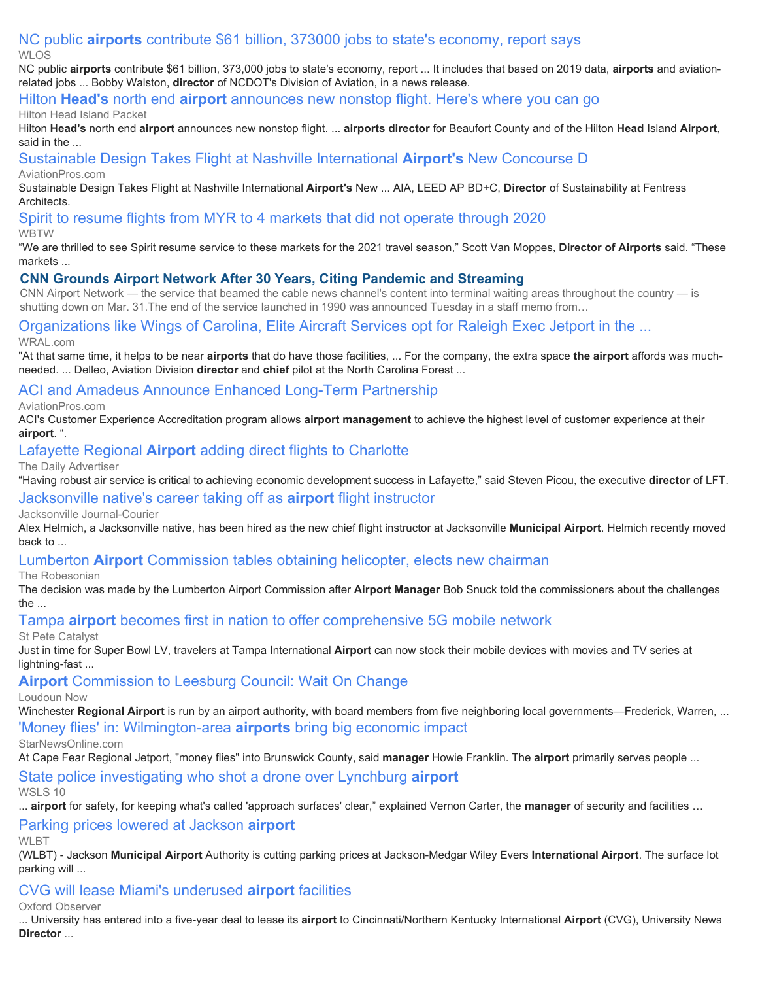#### [NC public](https://www.google.com/url?rct=j&sa=t&url=https://wlos.com/news/local/nc-public-airports-contribute-61-billion-373000-jobs-to-states-economy-report-says&ct=ga&cd=CAEYCioUMTYxMDI4NTUyMzY0OTIyMjQ3NTIyHDE0ODBmMGNhZjliMjExMmU6Y29tOmVuOlVTOlI&usg=AFQjCNF5vHiBueXlEKLieQydUksWf6cVXg) **[airports](https://www.google.com/url?rct=j&sa=t&url=https://wlos.com/news/local/nc-public-airports-contribute-61-billion-373000-jobs-to-states-economy-report-says&ct=ga&cd=CAEYCioUMTYxMDI4NTUyMzY0OTIyMjQ3NTIyHDE0ODBmMGNhZjliMjExMmU6Y29tOmVuOlVTOlI&usg=AFQjCNF5vHiBueXlEKLieQydUksWf6cVXg)** [contribute \\$61 billion, 373000 jobs to state's economy, report says](https://www.google.com/url?rct=j&sa=t&url=https://wlos.com/news/local/nc-public-airports-contribute-61-billion-373000-jobs-to-states-economy-report-says&ct=ga&cd=CAEYCioUMTYxMDI4NTUyMzY0OTIyMjQ3NTIyHDE0ODBmMGNhZjliMjExMmU6Y29tOmVuOlVTOlI&usg=AFQjCNF5vHiBueXlEKLieQydUksWf6cVXg) WLOS

NC public **airports** contribute \$61 billion, 373,000 jobs to state's economy, report ... It includes that based on 2019 data, **airports** and aviationrelated jobs ... Bobby Walston, **director** of NCDOT's Division of Aviation, in a news release.

[Hilton](https://www.google.com/url?rct=j&sa=t&url=https://www.islandpacket.com/news/business/article248423080.html&ct=ga&cd=CAEYCyoUMTYxMDI4NTUyMzY0OTIyMjQ3NTIyHDE0ODBmMGNhZjliMjExMmU6Y29tOmVuOlVTOlI&usg=AFQjCNFsZC7OqkTC8AUpH9JRvmey0Q1DdA) **[Head's](https://www.google.com/url?rct=j&sa=t&url=https://www.islandpacket.com/news/business/article248423080.html&ct=ga&cd=CAEYCyoUMTYxMDI4NTUyMzY0OTIyMjQ3NTIyHDE0ODBmMGNhZjliMjExMmU6Y29tOmVuOlVTOlI&usg=AFQjCNFsZC7OqkTC8AUpH9JRvmey0Q1DdA)** [north end](https://www.google.com/url?rct=j&sa=t&url=https://www.islandpacket.com/news/business/article248423080.html&ct=ga&cd=CAEYCyoUMTYxMDI4NTUyMzY0OTIyMjQ3NTIyHDE0ODBmMGNhZjliMjExMmU6Y29tOmVuOlVTOlI&usg=AFQjCNFsZC7OqkTC8AUpH9JRvmey0Q1DdA) **[airport](https://www.google.com/url?rct=j&sa=t&url=https://www.islandpacket.com/news/business/article248423080.html&ct=ga&cd=CAEYCyoUMTYxMDI4NTUyMzY0OTIyMjQ3NTIyHDE0ODBmMGNhZjliMjExMmU6Y29tOmVuOlVTOlI&usg=AFQjCNFsZC7OqkTC8AUpH9JRvmey0Q1DdA)** [announces new nonstop flight. Here's where you can go](https://www.google.com/url?rct=j&sa=t&url=https://www.islandpacket.com/news/business/article248423080.html&ct=ga&cd=CAEYCyoUMTYxMDI4NTUyMzY0OTIyMjQ3NTIyHDE0ODBmMGNhZjliMjExMmU6Y29tOmVuOlVTOlI&usg=AFQjCNFsZC7OqkTC8AUpH9JRvmey0Q1DdA)

#### Hilton Head Island Packet

Hilton **Head's** north end **airport** announces new nonstop flight. ... **airports director** for Beaufort County and of the Hilton **Head** Island **Airport**, said in the ...

[Sustainable Design Takes Flight at Nashville International](https://www.google.com/url?rct=j&sa=t&url=https://www.aviationpros.com/airports/press-release/21205394/fentress-architects-sustainable-design-takes-flight-at-nashville-international-airports-new-concourse-d&ct=ga&cd=CAEYFSoUMTYxMDI4NTUyMzY0OTIyMjQ3NTIyHDE0ODBmMGNhZjliMjExMmU6Y29tOmVuOlVTOlI&usg=AFQjCNHcCrLbsjI6CV2l1fVWoLOgv-i5gQ) **[Airport's](https://www.google.com/url?rct=j&sa=t&url=https://www.aviationpros.com/airports/press-release/21205394/fentress-architects-sustainable-design-takes-flight-at-nashville-international-airports-new-concourse-d&ct=ga&cd=CAEYFSoUMTYxMDI4NTUyMzY0OTIyMjQ3NTIyHDE0ODBmMGNhZjliMjExMmU6Y29tOmVuOlVTOlI&usg=AFQjCNHcCrLbsjI6CV2l1fVWoLOgv-i5gQ)** [New Concourse D](https://www.google.com/url?rct=j&sa=t&url=https://www.aviationpros.com/airports/press-release/21205394/fentress-architects-sustainable-design-takes-flight-at-nashville-international-airports-new-concourse-d&ct=ga&cd=CAEYFSoUMTYxMDI4NTUyMzY0OTIyMjQ3NTIyHDE0ODBmMGNhZjliMjExMmU6Y29tOmVuOlVTOlI&usg=AFQjCNHcCrLbsjI6CV2l1fVWoLOgv-i5gQ)

AviationPros.com

Sustainable Design Takes Flight at Nashville International **Airport's** New ... AIA, LEED AP BD+C, **Director** of Sustainability at Fentress Architects.

#### [Spirit to resume flights from MYR to 4 markets that did not operate through 2020](https://www.google.com/url?rct=j&sa=t&url=https://www.wbtw.com/news/spirit-to-resume-flights-from-myr-to-4-markets-that-did-not-operate-through-2020/&ct=ga&cd=CAEYAyoUMTA2NTc0NTQ4NjYyMTY5MDAxNDYyHDE0ODBmMGNhZjliMjExMmU6Y29tOmVuOlVTOlI&usg=AFQjCNEMRpmKZJD4vjay_udQf7-ZA5-GbA)

WBTW

"We are thrilled to see Spirit resume service to these markets for the 2021 travel season," Scott Van Moppes, **Director of Airports** said. "These markets ...

#### **[CNN Grounds Airport Network After 30 Years, Citing Pandemic and Streaming](https://endeavor.omeclk.com/portal/wts/ugmc%7Cz2gjg8aehkd3ajC2roB%5Een%5E6r7%7Ccvz3jFfsr3jnLjvAPBDvjfP-SaAwxs07%5E-xst2a)**

CNN Airport Network — the service that beamed the cable news channel's content into terminal waiting areas throughout the country — is shutting down on Mar. 31.The end of the service launched in 1990 was announced Tuesday in a staff memo from…

[Organizations like Wings of Carolina, Elite Aircraft Services opt for Raleigh Exec Jetport in the ...](https://www.google.com/url?rct=j&sa=t&url=https://www.wral.com/organizations-like-wings-of-carolina-elite-aircraft-services-opt-for-raleigh-exec-jetport-in-the-triangle-region/19439380/&ct=ga&cd=CAEYBSoTMzk3MTMyNjQ1ODEyNDk1MTM1MDIcMTQ4MGYwY2FmOWIyMTEyZTpjb206ZW46VVM6Ug&usg=AFQjCNGWPuAp362g5si7LbCyPcEOgkk5Jg) WRAL.com

"At that same time, it helps to be near **airports** that do have those facilities, ... For the company, the extra space **the airport** affords was muchneeded. ... Delleo, Aviation Division **director** and **chief** pilot at the North Carolina Forest ...

#### [ACI and Amadeus Announce Enhanced Long-Term Partnership](https://www.google.com/url?rct=j&sa=t&url=https://www.aviationpros.com/airports/airport-technology/press-release/21206281/airports-council-international-aciworld-aci-and-amadeus-announce-enhanced-longterm-partnership&ct=ga&cd=CAEYEyoTNjg5NTkzMDIyNDExNjgyMDExODIcMTQ4MGYwY2FmOWIyMTEyZTpjb206ZW46VVM6Ug&usg=AFQjCNGMelTzBT-AXthH5WjlCpggwobEEQ)

AviationPros.com

ACI's Customer Experience Accreditation program allows **airport management** to achieve the highest level of customer experience at their **airport**. ".

#### [Lafayette Regional](https://www.google.com/url?rct=j&sa=t&url=https://www.theadvertiser.com/story/news/2021/01/19/lafayette-regional-airport-adding-direct-flights-charlotte/4210271001/&ct=ga&cd=CAEYGyoTNjg5NTkzMDIyNDExNjgyMDExODIcMTQ4MGYwY2FmOWIyMTEyZTpjb206ZW46VVM6Ug&usg=AFQjCNGFLMh0aWV45FJ52IGwUnO7YPeUdQ) **[Airport](https://www.google.com/url?rct=j&sa=t&url=https://www.theadvertiser.com/story/news/2021/01/19/lafayette-regional-airport-adding-direct-flights-charlotte/4210271001/&ct=ga&cd=CAEYGyoTNjg5NTkzMDIyNDExNjgyMDExODIcMTQ4MGYwY2FmOWIyMTEyZTpjb206ZW46VVM6Ug&usg=AFQjCNGFLMh0aWV45FJ52IGwUnO7YPeUdQ)** [adding direct flights to Charlotte](https://www.google.com/url?rct=j&sa=t&url=https://www.theadvertiser.com/story/news/2021/01/19/lafayette-regional-airport-adding-direct-flights-charlotte/4210271001/&ct=ga&cd=CAEYGyoTNjg5NTkzMDIyNDExNjgyMDExODIcMTQ4MGYwY2FmOWIyMTEyZTpjb206ZW46VVM6Ug&usg=AFQjCNGFLMh0aWV45FJ52IGwUnO7YPeUdQ)

The Daily Advertiser

"Having robust air service is critical to achieving economic development success in Lafayette," said Steven Picou, the executive **director** of LFT.

#### [Jacksonville native's career taking off as](https://www.google.com/url?rct=j&sa=t&url=https://www.myjournalcourier.com/insider/article/Jacksonville-native-s-career-taking-off-as-15879934.php&ct=ga&cd=CAEYBCoTMTIyODk4MDcyOTA1MzIyNzkwMzIaMTJjMzA5N2VkNzU0OWY3ZTpjb206ZW46VVM&usg=AFQjCNGAZBTayTvBTbCXCaDoZ1__VObjgA) **[airport](https://www.google.com/url?rct=j&sa=t&url=https://www.myjournalcourier.com/insider/article/Jacksonville-native-s-career-taking-off-as-15879934.php&ct=ga&cd=CAEYBCoTMTIyODk4MDcyOTA1MzIyNzkwMzIaMTJjMzA5N2VkNzU0OWY3ZTpjb206ZW46VVM&usg=AFQjCNGAZBTayTvBTbCXCaDoZ1__VObjgA)** [flight instructor](https://www.google.com/url?rct=j&sa=t&url=https://www.myjournalcourier.com/insider/article/Jacksonville-native-s-career-taking-off-as-15879934.php&ct=ga&cd=CAEYBCoTMTIyODk4MDcyOTA1MzIyNzkwMzIaMTJjMzA5N2VkNzU0OWY3ZTpjb206ZW46VVM&usg=AFQjCNGAZBTayTvBTbCXCaDoZ1__VObjgA)

Jacksonville Journal-Courier

Alex Helmich, a Jacksonville native, has been hired as the new chief flight instructor at Jacksonville **Municipal Airport**. Helmich recently moved back to ...

#### [Lumberton](https://www.google.com/url?rct=j&sa=t&url=https://www.robesonian.com/news/141690/lumberton-airport-commission-tables-obtaining-helicopter-elects-new-chairman&ct=ga&cd=CAEYBioTNzA3MDYyMjU5NzA0Nzg5MDAwNjIcOGVjYjY3MWRlZmVkNjgxZTpjb206ZW46VVM6Ug&usg=AFQjCNFgtCzTDePhthHVFBfRaz9Br1Ohzw) **[Airport](https://www.google.com/url?rct=j&sa=t&url=https://www.robesonian.com/news/141690/lumberton-airport-commission-tables-obtaining-helicopter-elects-new-chairman&ct=ga&cd=CAEYBioTNzA3MDYyMjU5NzA0Nzg5MDAwNjIcOGVjYjY3MWRlZmVkNjgxZTpjb206ZW46VVM6Ug&usg=AFQjCNFgtCzTDePhthHVFBfRaz9Br1Ohzw)** [Commission tables obtaining helicopter, elects new chairman](https://www.google.com/url?rct=j&sa=t&url=https://www.robesonian.com/news/141690/lumberton-airport-commission-tables-obtaining-helicopter-elects-new-chairman&ct=ga&cd=CAEYBioTNzA3MDYyMjU5NzA0Nzg5MDAwNjIcOGVjYjY3MWRlZmVkNjgxZTpjb206ZW46VVM6Ug&usg=AFQjCNFgtCzTDePhthHVFBfRaz9Br1Ohzw)

The Robesonian

The decision was made by the Lumberton Airport Commission after **Airport Manager** Bob Snuck told the commissioners about the challenges the ...

#### [Tampa](https://www.google.com/url?rct=j&sa=t&url=https://stpetecatalyst.com/tampa-airport-becomes-first-in-nation-to-offer-comprehensive-5g-mobile-network/&ct=ga&cd=CAEYFSoTNzA3MDYyMjU5NzA0Nzg5MDAwNjIcOGVjYjY3MWRlZmVkNjgxZTpjb206ZW46VVM6Ug&usg=AFQjCNE8hCv_2dmiSItmyRXgRKtGmayr9g) **[airport](https://www.google.com/url?rct=j&sa=t&url=https://stpetecatalyst.com/tampa-airport-becomes-first-in-nation-to-offer-comprehensive-5g-mobile-network/&ct=ga&cd=CAEYFSoTNzA3MDYyMjU5NzA0Nzg5MDAwNjIcOGVjYjY3MWRlZmVkNjgxZTpjb206ZW46VVM6Ug&usg=AFQjCNE8hCv_2dmiSItmyRXgRKtGmayr9g)** [becomes first in nation to offer comprehensive 5G mobile network](https://www.google.com/url?rct=j&sa=t&url=https://stpetecatalyst.com/tampa-airport-becomes-first-in-nation-to-offer-comprehensive-5g-mobile-network/&ct=ga&cd=CAEYFSoTNzA3MDYyMjU5NzA0Nzg5MDAwNjIcOGVjYjY3MWRlZmVkNjgxZTpjb206ZW46VVM6Ug&usg=AFQjCNE8hCv_2dmiSItmyRXgRKtGmayr9g)

St Pete Catalyst

Just in time for Super Bowl LV, travelers at Tampa International **Airport** can now stock their mobile devices with movies and TV series at lightning-fast ...

#### **[Airport](https://www.google.com/url?rct=j&sa=t&url=https://loudounnow.com/2021/01/23/airport-commission-to-leesburg-council-wait-on-change/&ct=ga&cd=CAEYByoTNzA0OTI0MzQxNTAwMzU4OTI5NTIaMTJjMzA5N2VkNzU0OWY3ZTpjb206ZW46VVM&usg=AFQjCNHkKrIvefNM1DAec_oEoNCX8KKkSQ)** [Commission to Leesburg Council: Wait On Change](https://www.google.com/url?rct=j&sa=t&url=https://loudounnow.com/2021/01/23/airport-commission-to-leesburg-council-wait-on-change/&ct=ga&cd=CAEYByoTNzA0OTI0MzQxNTAwMzU4OTI5NTIaMTJjMzA5N2VkNzU0OWY3ZTpjb206ZW46VVM&usg=AFQjCNHkKrIvefNM1DAec_oEoNCX8KKkSQ)

Loudoun Now

Winchester **Regional Airport** is run by an airport authority, with board members from five neighboring local governments—Frederick, Warren, ... ['Money flies' in: Wilmington-area](https://www.google.com/url?rct=j&sa=t&url=https://www.starnewsonline.com/story/news/2021/01/24/wilmington-airports-add-billions-economy-local-area/4212726001/&ct=ga&cd=CAEYACoUMTE0MjIyMzY0MTEwNjgwMjQzOTgyHDhlY2I2NzFkZWZlZDY4MWU6Y29tOmVuOlVTOlI&usg=AFQjCNFyyOuXnjKnJsr6xH83kAb97CUOUg) **[airports](https://www.google.com/url?rct=j&sa=t&url=https://www.starnewsonline.com/story/news/2021/01/24/wilmington-airports-add-billions-economy-local-area/4212726001/&ct=ga&cd=CAEYACoUMTE0MjIyMzY0MTEwNjgwMjQzOTgyHDhlY2I2NzFkZWZlZDY4MWU6Y29tOmVuOlVTOlI&usg=AFQjCNFyyOuXnjKnJsr6xH83kAb97CUOUg)** [bring big economic impact](https://www.google.com/url?rct=j&sa=t&url=https://www.starnewsonline.com/story/news/2021/01/24/wilmington-airports-add-billions-economy-local-area/4212726001/&ct=ga&cd=CAEYACoUMTE0MjIyMzY0MTEwNjgwMjQzOTgyHDhlY2I2NzFkZWZlZDY4MWU6Y29tOmVuOlVTOlI&usg=AFQjCNFyyOuXnjKnJsr6xH83kAb97CUOUg)

StarNewsOnline.com

At Cape Fear Regional Jetport, "money flies" into Brunswick County, said **manager** Howie Franklin. The **airport** primarily serves people ...

#### [State police investigating who shot a drone over Lynchburg](https://www.google.com/url?rct=j&sa=t&url=https://www.wsls.com/news/local/2021/01/26/state-police-investigating-who-shot-a-drone-over-lynchburg-airport/&ct=ga&cd=CAEYAioUMTA1MDMxNTAwNjAzNTQyNjg3OTYyHDhlY2I2NzFkZWZlZDY4MWU6Y29tOmVuOlVTOlI&usg=AFQjCNHlHJaMIvk0gcbiYrqye6OouVlAsQ) **[airport](https://www.google.com/url?rct=j&sa=t&url=https://www.wsls.com/news/local/2021/01/26/state-police-investigating-who-shot-a-drone-over-lynchburg-airport/&ct=ga&cd=CAEYAioUMTA1MDMxNTAwNjAzNTQyNjg3OTYyHDhlY2I2NzFkZWZlZDY4MWU6Y29tOmVuOlVTOlI&usg=AFQjCNHlHJaMIvk0gcbiYrqye6OouVlAsQ)** WSLS 10

... **airport** for safety, for keeping what's called 'approach surfaces' clear," explained Vernon Carter, the **manager** of security and facilities …

#### [Parking prices lowered at Jackson](https://www.google.com/url?rct=j&sa=t&url=https://www.wlbt.com/2021/01/27/parking-prices-lowered-jackson-airport/&ct=ga&cd=CAEYASoUMTI2OTA4OTM5MzI1MjU1Nzk3MDEyGjEyYzMwOTdlZDc1NDlmN2U6Y29tOmVuOlVT&usg=AFQjCNEWdZhrqcJMzAOND9nqWqgTKJm--g) **[airport](https://www.google.com/url?rct=j&sa=t&url=https://www.wlbt.com/2021/01/27/parking-prices-lowered-jackson-airport/&ct=ga&cd=CAEYASoUMTI2OTA4OTM5MzI1MjU1Nzk3MDEyGjEyYzMwOTdlZDc1NDlmN2U6Y29tOmVuOlVT&usg=AFQjCNEWdZhrqcJMzAOND9nqWqgTKJm--g)**

WI **BT** 

(WLBT) - Jackson **Municipal Airport** Authority is cutting parking prices at Jackson-Medgar Wiley Evers **International Airport**. The surface lot parking will ...

#### [CVG will lease Miami's underused](https://www.google.com/url?rct=j&sa=t&url=https://oxfordobserver.org/4059/briefs/cvg-will-utilize-miamis-underused-airport-facilities/&ct=ga&cd=CAEYASoUMTc1MDI2MjA2NDk4NTEyMTQzMjcyHDE0ODBmMGNhZjliMjExMmU6Y29tOmVuOlVTOlI&usg=AFQjCNGbYWp3VRrNDafxvy5uvgjHWSet2Q) **[airport](https://www.google.com/url?rct=j&sa=t&url=https://oxfordobserver.org/4059/briefs/cvg-will-utilize-miamis-underused-airport-facilities/&ct=ga&cd=CAEYASoUMTc1MDI2MjA2NDk4NTEyMTQzMjcyHDE0ODBmMGNhZjliMjExMmU6Y29tOmVuOlVTOlI&usg=AFQjCNGbYWp3VRrNDafxvy5uvgjHWSet2Q)** [facilities](https://www.google.com/url?rct=j&sa=t&url=https://oxfordobserver.org/4059/briefs/cvg-will-utilize-miamis-underused-airport-facilities/&ct=ga&cd=CAEYASoUMTc1MDI2MjA2NDk4NTEyMTQzMjcyHDE0ODBmMGNhZjliMjExMmU6Y29tOmVuOlVTOlI&usg=AFQjCNGbYWp3VRrNDafxvy5uvgjHWSet2Q)

Oxford Observer

... University has entered into a five-year deal to lease its **airport** to Cincinnati/Northern Kentucky International **Airport** (CVG), University News **Director** ...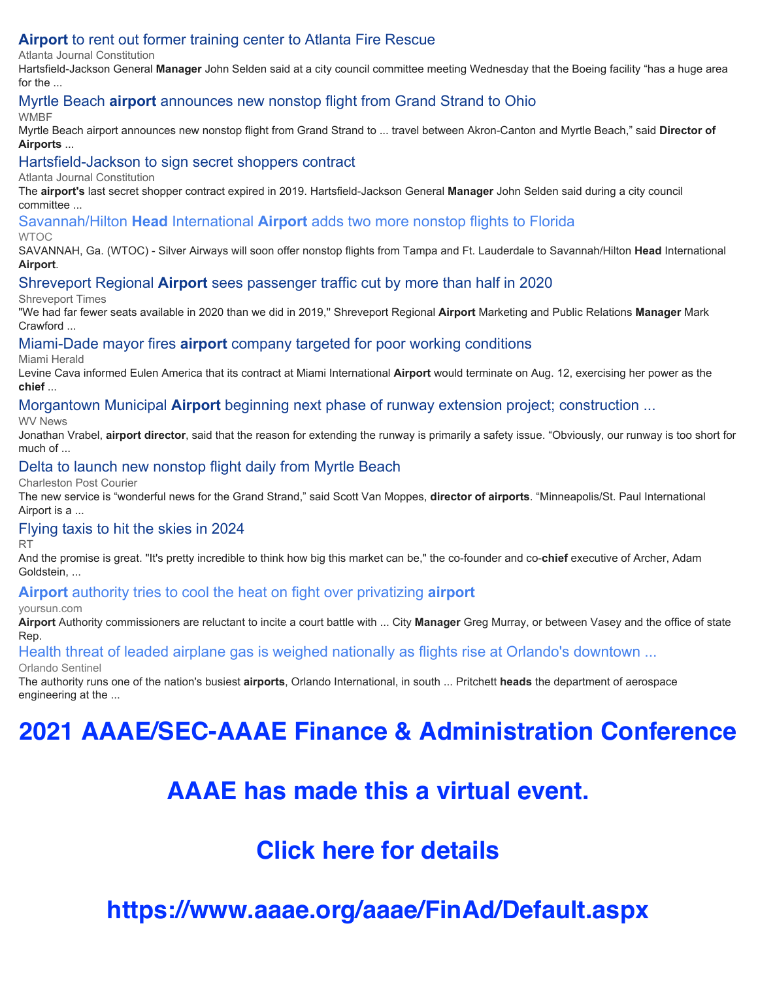#### **[Airport](https://www.google.com/url?rct=j&sa=t&url=https://www.ajc.com/news/business/airport-to-rent-out-former-training-center-to-atlanta-fire-rescue/UVNQ73H3WJEIXKWZKZN6KMHTVQ/&ct=ga&cd=CAEYAioTNjYzNDg3NjgxNzYyODI1MjY4NjIcOGVjYjY3MWRlZmVkNjgxZTpjb206ZW46VVM6Ug&usg=AFQjCNElSnX4R6ZdPTk5aEuWfzLC3kDT8Q)** [to rent out former training center to Atlanta Fire Rescue](https://www.google.com/url?rct=j&sa=t&url=https://www.ajc.com/news/business/airport-to-rent-out-former-training-center-to-atlanta-fire-rescue/UVNQ73H3WJEIXKWZKZN6KMHTVQ/&ct=ga&cd=CAEYAioTNjYzNDg3NjgxNzYyODI1MjY4NjIcOGVjYjY3MWRlZmVkNjgxZTpjb206ZW46VVM6Ug&usg=AFQjCNElSnX4R6ZdPTk5aEuWfzLC3kDT8Q)

Atlanta Journal Constitution

Hartsfield-Jackson General **Manager** John Selden said at a city council committee meeting Wednesday that the Boeing facility "has a huge area for the ...

#### [Myrtle Beach](https://www.google.com/url?rct=j&sa=t&url=https://www.wmbfnews.com/2021/02/11/myrtle-beach-airport-announces-new-nonstop-flight-grand-strand-ohio/&ct=ga&cd=CAEYACoUMTQ1NTE3ODgyODgwNzU5MzgyNjMyHDE0ODBmMGNhZjliMjExMmU6Y29tOmVuOlVTOlI&usg=AFQjCNFFKFTieb78B5vC-KOGpK-m-BvTjA) **[airport](https://www.google.com/url?rct=j&sa=t&url=https://www.wmbfnews.com/2021/02/11/myrtle-beach-airport-announces-new-nonstop-flight-grand-strand-ohio/&ct=ga&cd=CAEYACoUMTQ1NTE3ODgyODgwNzU5MzgyNjMyHDE0ODBmMGNhZjliMjExMmU6Y29tOmVuOlVTOlI&usg=AFQjCNFFKFTieb78B5vC-KOGpK-m-BvTjA)** [announces new nonstop flight from Grand Strand to Ohio](https://www.google.com/url?rct=j&sa=t&url=https://www.wmbfnews.com/2021/02/11/myrtle-beach-airport-announces-new-nonstop-flight-grand-strand-ohio/&ct=ga&cd=CAEYACoUMTQ1NTE3ODgyODgwNzU5MzgyNjMyHDE0ODBmMGNhZjliMjExMmU6Y29tOmVuOlVTOlI&usg=AFQjCNFFKFTieb78B5vC-KOGpK-m-BvTjA)

#### WMBF

Myrtle Beach airport announces new nonstop flight from Grand Strand to ... travel between Akron-Canton and Myrtle Beach," said **Director of Airports** ...

[Hartsfield-Jackson to sign secret shoppers contract](https://www.google.com/url?rct=j&sa=t&url=https://www.ajc.com/news/business/hartsfield-jackson-to-sign-secret-shoppers-contract/D6W72MO5EVGGZDPY5FZWWDBC4Q/&ct=ga&cd=CAEYAioUMTE0NDM1NTE0NDM3MjM3NzE3MzIyHDhlY2I2NzFkZWZlZDY4MWU6Y29tOmVuOlVTOlI&usg=AFQjCNH5NS8Mkch_PUNRn1VKTklJfNY9XQ)

#### Atlanta Journal Constitution

The **airport's** last secret shopper contract expired in 2019. Hartsfield-Jackson General **Manager** John Selden said during a city council committee ...

[Savannah/Hilton](https://www.google.com/url?rct=j&sa=t&url=https://www.wtoc.com/2021/02/02/savannahhilton-head-international-airport-adds-two-more-nonstop-flights-florida/&ct=ga&cd=CAEYASoUMTAyNjc0MzgyMjQ3OTkyODU5ODAyHDE0ODBmMGNhZjliMjExMmU6Y29tOmVuOlVTOlI&usg=AFQjCNF2N7F6JmN8nTtw-j9gmLPq4FbJ8A) **[Head](https://www.google.com/url?rct=j&sa=t&url=https://www.wtoc.com/2021/02/02/savannahhilton-head-international-airport-adds-two-more-nonstop-flights-florida/&ct=ga&cd=CAEYASoUMTAyNjc0MzgyMjQ3OTkyODU5ODAyHDE0ODBmMGNhZjliMjExMmU6Y29tOmVuOlVTOlI&usg=AFQjCNF2N7F6JmN8nTtw-j9gmLPq4FbJ8A)** [International](https://www.google.com/url?rct=j&sa=t&url=https://www.wtoc.com/2021/02/02/savannahhilton-head-international-airport-adds-two-more-nonstop-flights-florida/&ct=ga&cd=CAEYASoUMTAyNjc0MzgyMjQ3OTkyODU5ODAyHDE0ODBmMGNhZjliMjExMmU6Y29tOmVuOlVTOlI&usg=AFQjCNF2N7F6JmN8nTtw-j9gmLPq4FbJ8A) **[Airport](https://www.google.com/url?rct=j&sa=t&url=https://www.wtoc.com/2021/02/02/savannahhilton-head-international-airport-adds-two-more-nonstop-flights-florida/&ct=ga&cd=CAEYASoUMTAyNjc0MzgyMjQ3OTkyODU5ODAyHDE0ODBmMGNhZjliMjExMmU6Y29tOmVuOlVTOlI&usg=AFQjCNF2N7F6JmN8nTtw-j9gmLPq4FbJ8A)** [adds two more nonstop flights to Florida](https://www.google.com/url?rct=j&sa=t&url=https://www.wtoc.com/2021/02/02/savannahhilton-head-international-airport-adds-two-more-nonstop-flights-florida/&ct=ga&cd=CAEYASoUMTAyNjc0MzgyMjQ3OTkyODU5ODAyHDE0ODBmMGNhZjliMjExMmU6Y29tOmVuOlVTOlI&usg=AFQjCNF2N7F6JmN8nTtw-j9gmLPq4FbJ8A)

#### **WTOC**

SAVANNAH, Ga. (WTOC) - Silver Airways will soon offer nonstop flights from Tampa and Ft. Lauderdale to Savannah/Hilton **Head** International **Airport**.

#### [Shreveport Regional](https://www.google.com/url?rct=j&sa=t&url=https://www.shreveporttimes.com/story/news/local/2021/02/12/shreveport-regional-airport-passenger-traffic-drops-more-than-half/6736848002/&ct=ga&cd=CAEYASoTMzkwMzkwMTIzMzYxNzk0MjcxMDIcOGVjYjY3MWRlZmVkNjgxZTpjb206ZW46VVM6Ug&usg=AFQjCNF4Y46w3_zRh-JSDmbWGitDdw0-ew) **[Airport](https://www.google.com/url?rct=j&sa=t&url=https://www.shreveporttimes.com/story/news/local/2021/02/12/shreveport-regional-airport-passenger-traffic-drops-more-than-half/6736848002/&ct=ga&cd=CAEYASoTMzkwMzkwMTIzMzYxNzk0MjcxMDIcOGVjYjY3MWRlZmVkNjgxZTpjb206ZW46VVM6Ug&usg=AFQjCNF4Y46w3_zRh-JSDmbWGitDdw0-ew)** [sees passenger traffic cut by more than half in 2020](https://www.google.com/url?rct=j&sa=t&url=https://www.shreveporttimes.com/story/news/local/2021/02/12/shreveport-regional-airport-passenger-traffic-drops-more-than-half/6736848002/&ct=ga&cd=CAEYASoTMzkwMzkwMTIzMzYxNzk0MjcxMDIcOGVjYjY3MWRlZmVkNjgxZTpjb206ZW46VVM6Ug&usg=AFQjCNF4Y46w3_zRh-JSDmbWGitDdw0-ew)

Shreveport Times

"We had far fewer seats available in 2020 than we did in 2019,'' Shreveport Regional **Airport** Marketing and Public Relations **Manager** Mark Crawford ...

#### [Miami-Dade mayor fires](https://www.google.com/url?rct=j&sa=t&url=https://www.miamiherald.com/news/local/community/miami-dade/article249219285.html&ct=ga&cd=CAEYAioUMTEzMjA0NzA3MzQ0MTg5NzIwMzAyHDE0ODBmMGNhZjliMjExMmU6Y29tOmVuOlVTOlI&usg=AFQjCNFUvNSnky_snM8zGc6sHfUnKEpiLA) **[airport](https://www.google.com/url?rct=j&sa=t&url=https://www.miamiherald.com/news/local/community/miami-dade/article249219285.html&ct=ga&cd=CAEYAioUMTEzMjA0NzA3MzQ0MTg5NzIwMzAyHDE0ODBmMGNhZjliMjExMmU6Y29tOmVuOlVTOlI&usg=AFQjCNFUvNSnky_snM8zGc6sHfUnKEpiLA)** [company targeted for poor working conditions](https://www.google.com/url?rct=j&sa=t&url=https://www.miamiherald.com/news/local/community/miami-dade/article249219285.html&ct=ga&cd=CAEYAioUMTEzMjA0NzA3MzQ0MTg5NzIwMzAyHDE0ODBmMGNhZjliMjExMmU6Y29tOmVuOlVTOlI&usg=AFQjCNFUvNSnky_snM8zGc6sHfUnKEpiLA)

Miami Herald

Levine Cava informed Eulen America that its contract at Miami International **Airport** would terminate on Aug. 12, exercising her power as the **chief** ...

#### [Morgantown Municipal](https://www.google.com/url?rct=j&sa=t&url=https://www.wvnews.com/news/wvnews/morgantown-municipal-airport-beginning-next-phase-of-runway-extension-project-construction-expected-to-begin-in/article_5da2b443-afe7-5f57-ac92-a2d7ce6c58e7.html&ct=ga&cd=CAEYACoTNjMwMTk4ODEwOTEzNjY5MzE5MjIcOGVjYjY3MWRlZmVkNjgxZTpjb206ZW46VVM6Ug&usg=AFQjCNE_XnlIC7GC244BJeFyBJjBftgtWg) **[Airport](https://www.google.com/url?rct=j&sa=t&url=https://www.wvnews.com/news/wvnews/morgantown-municipal-airport-beginning-next-phase-of-runway-extension-project-construction-expected-to-begin-in/article_5da2b443-afe7-5f57-ac92-a2d7ce6c58e7.html&ct=ga&cd=CAEYACoTNjMwMTk4ODEwOTEzNjY5MzE5MjIcOGVjYjY3MWRlZmVkNjgxZTpjb206ZW46VVM6Ug&usg=AFQjCNE_XnlIC7GC244BJeFyBJjBftgtWg)** [beginning next phase of runway extension project; construction ...](https://www.google.com/url?rct=j&sa=t&url=https://www.wvnews.com/news/wvnews/morgantown-municipal-airport-beginning-next-phase-of-runway-extension-project-construction-expected-to-begin-in/article_5da2b443-afe7-5f57-ac92-a2d7ce6c58e7.html&ct=ga&cd=CAEYACoTNjMwMTk4ODEwOTEzNjY5MzE5MjIcOGVjYjY3MWRlZmVkNjgxZTpjb206ZW46VVM6Ug&usg=AFQjCNE_XnlIC7GC244BJeFyBJjBftgtWg)

WV News

Jonathan Vrabel, **airport director**, said that the reason for extending the runway is primarily a safety issue. "Obviously, our runway is too short for much of ...

#### [Delta to launch new nonstop flight daily from Myrtle Beach](https://www.google.com/url?rct=j&sa=t&url=https://www.postandcourier.com/myrtle-beach/news/delta-to-launch-new-nonstop-flight-daily-from-myrtle-beach/article_6c3643a6-6c6f-11eb-83ae-37d56e3aac9d.html&ct=ga&cd=CAEYACoTNDYzMjkwNDcwODQ0MDM0MDc0MzIcMTQ4MGYwY2FmOWIyMTEyZTpjb206ZW46VVM6Ug&usg=AFQjCNF3qgINdVADwbwfDIt_jkw0rGUGdg)

Charleston Post Courier

The new service is "wonderful news for the Grand Strand," said Scott Van Moppes, **director of airports**. "Minneapolis/St. Paul International Airport is a ...

#### [Flying taxis to hit the skies in 2024](https://www.google.com/url?rct=j&sa=t&url=https://www.rt.com/business/515376-flying-taxis-hit-skies/&ct=ga&cd=CAEYASoUMTI0ODg1NTU2OTkxMDcyMzA3MzkyHDE0ODBmMGNhZjliMjExMmU6Y29tOmVuOlVTOlI&usg=AFQjCNEI75wASZKXxuDAcgRhSetyfL1hng)

RT And the promise is great. "It's pretty incredible to think how big this market can be," the co-founder and co-**chief** executive of Archer, Adam Goldstein, ...

#### **[Airport](https://www.google.com/url?rct=j&sa=t&url=https://www.yoursun.com/charlotte/news/airport-authority-tries-to-cool-the-heat-on-fight-over-privatizing-airport/article_29e72bf8-664f-11eb-b2cc-531405909e9d.html&ct=ga&cd=CAEYAioUMTE0MDQzNTc5NzY5NTMyMDk1OTMyHDhlY2I2NzFkZWZlZDY4MWU6Y29tOmVuOlVTOlI&usg=AFQjCNE6qwgbPMVojRd-2iEdfnfFLbLoTw)** [authority tries to cool the heat on fight over privatizing](https://www.google.com/url?rct=j&sa=t&url=https://www.yoursun.com/charlotte/news/airport-authority-tries-to-cool-the-heat-on-fight-over-privatizing-airport/article_29e72bf8-664f-11eb-b2cc-531405909e9d.html&ct=ga&cd=CAEYAioUMTE0MDQzNTc5NzY5NTMyMDk1OTMyHDhlY2I2NzFkZWZlZDY4MWU6Y29tOmVuOlVTOlI&usg=AFQjCNE6qwgbPMVojRd-2iEdfnfFLbLoTw) **[airport](https://www.google.com/url?rct=j&sa=t&url=https://www.yoursun.com/charlotte/news/airport-authority-tries-to-cool-the-heat-on-fight-over-privatizing-airport/article_29e72bf8-664f-11eb-b2cc-531405909e9d.html&ct=ga&cd=CAEYAioUMTE0MDQzNTc5NzY5NTMyMDk1OTMyHDhlY2I2NzFkZWZlZDY4MWU6Y29tOmVuOlVTOlI&usg=AFQjCNE6qwgbPMVojRd-2iEdfnfFLbLoTw)**

yoursun.com

**Airport** Authority commissioners are reluctant to incite a court battle with ... City **Manager** Greg Murray, or between Vasey and the office of state Rep.

[Health threat of leaded airplane gas is weighed nationally as flights rise at Orlando's downtown ...](https://www.google.com/url?rct=j&sa=t&url=https://www.orlandosentinel.com/news/environment/os-prem-orlando-executive-airport-leaded-gas-20210131-mxwjfpf3gzekrhpd5deq6kqn4i-story.html&ct=ga&cd=CAEYACoTODM2NzYwMTUyMTIwMjc2MjczNjIcMTQ4MGYwY2FmOWIyMTEyZTpjb206ZW46VVM6Ug&usg=AFQjCNElfmrgYBayZh5w5FFG6JEnfdlsPg)

#### Orlando Sentinel

The authority runs one of the nation's busiest **airports**, Orlando International, in south ... Pritchett **heads** the department of aerospace engineering at the ...

## **2021 AAAE/SEC-AAAE Finance & Administration Conference**

## **AAAE has made this a virtual event.**

## **Click here for details**

**<https://www.aaae.org/aaae/FinAd/Default.aspx>**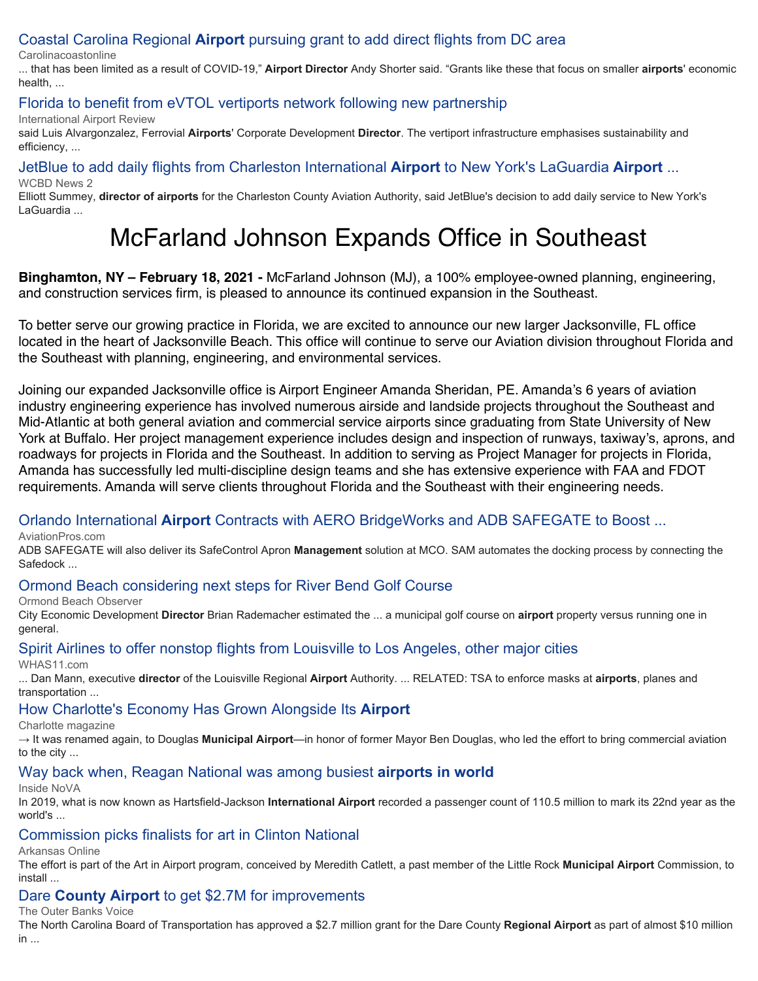#### [Coastal Carolina Regional](https://www.google.com/url?rct=j&sa=t&url=https://www.carolinacoastonline.com/news_times/article_db4fc54e-72ca-11eb-9b63-2783b06d0f55.html&ct=ga&cd=CAEYACoUMTY0MDIyMDQwMDcyMzU4OTg2ODIyHDE0ODBmMGNhZjliMjExMmU6Y29tOmVuOlVTOlI&usg=AFQjCNENCPI1eL7l-0t7ksI7oVGyEEMNLQ) **[Airport](https://www.google.com/url?rct=j&sa=t&url=https://www.carolinacoastonline.com/news_times/article_db4fc54e-72ca-11eb-9b63-2783b06d0f55.html&ct=ga&cd=CAEYACoUMTY0MDIyMDQwMDcyMzU4OTg2ODIyHDE0ODBmMGNhZjliMjExMmU6Y29tOmVuOlVTOlI&usg=AFQjCNENCPI1eL7l-0t7ksI7oVGyEEMNLQ)** [pursuing grant to add direct flights from DC area](https://www.google.com/url?rct=j&sa=t&url=https://www.carolinacoastonline.com/news_times/article_db4fc54e-72ca-11eb-9b63-2783b06d0f55.html&ct=ga&cd=CAEYACoUMTY0MDIyMDQwMDcyMzU4OTg2ODIyHDE0ODBmMGNhZjliMjExMmU6Y29tOmVuOlVTOlI&usg=AFQjCNENCPI1eL7l-0t7ksI7oVGyEEMNLQ)

Carolinacoastonline

... that has been limited as a result of COVID-19," **Airport Director** Andy Shorter said. "Grants like these that focus on smaller **airports**' economic health, ...

#### [Florida to benefit from eVTOL vertiports network following new partnership](https://www.google.com/url?rct=j&sa=t&url=https://www.internationalairportreview.com/news/153349/florida-evtol-vertiports-network-partnership/&ct=ga&cd=CAEYACoUMTUxMDgzODg2MjA2NzM0ODY4NTAyHDE0ODBmMGNhZjliMjExMmU6Y29tOmVuOlVTOlI&usg=AFQjCNF9EytyfV__f8KXwY0hAKbeNMMdFA)

International Airport Review

said Luis Alvargonzalez, Ferrovial **Airports**' Corporate Development **Director**. The vertiport infrastructure emphasises sustainability and efficiency, ...

#### [JetBlue to add daily flights from Charleston International](https://www.google.com/url?rct=j&sa=t&url=https://www.counton2.com/news/local-news/charleston-county-news/jetblue-to-begin-daily-flights-from-charleston-international-airport-to-new-yorks-laguardia-airport-this-summer/&ct=ga&cd=CAEYACoUMTIzMzI3NzA3MjMyMTU3ODUyODYyHDE0ODBmMGNhZjliMjExMmU6Y29tOmVuOlVTOlI&usg=AFQjCNE0AZM22WwOuf00RjV0I5NVMK1mIA) **[Airport](https://www.google.com/url?rct=j&sa=t&url=https://www.counton2.com/news/local-news/charleston-county-news/jetblue-to-begin-daily-flights-from-charleston-international-airport-to-new-yorks-laguardia-airport-this-summer/&ct=ga&cd=CAEYACoUMTIzMzI3NzA3MjMyMTU3ODUyODYyHDE0ODBmMGNhZjliMjExMmU6Y29tOmVuOlVTOlI&usg=AFQjCNE0AZM22WwOuf00RjV0I5NVMK1mIA)** [to New York's LaGuardia](https://www.google.com/url?rct=j&sa=t&url=https://www.counton2.com/news/local-news/charleston-county-news/jetblue-to-begin-daily-flights-from-charleston-international-airport-to-new-yorks-laguardia-airport-this-summer/&ct=ga&cd=CAEYACoUMTIzMzI3NzA3MjMyMTU3ODUyODYyHDE0ODBmMGNhZjliMjExMmU6Y29tOmVuOlVTOlI&usg=AFQjCNE0AZM22WwOuf00RjV0I5NVMK1mIA) **[Airport](https://www.google.com/url?rct=j&sa=t&url=https://www.counton2.com/news/local-news/charleston-county-news/jetblue-to-begin-daily-flights-from-charleston-international-airport-to-new-yorks-laguardia-airport-this-summer/&ct=ga&cd=CAEYACoUMTIzMzI3NzA3MjMyMTU3ODUyODYyHDE0ODBmMGNhZjliMjExMmU6Y29tOmVuOlVTOlI&usg=AFQjCNE0AZM22WwOuf00RjV0I5NVMK1mIA)** [...](https://www.google.com/url?rct=j&sa=t&url=https://www.counton2.com/news/local-news/charleston-county-news/jetblue-to-begin-daily-flights-from-charleston-international-airport-to-new-yorks-laguardia-airport-this-summer/&ct=ga&cd=CAEYACoUMTIzMzI3NzA3MjMyMTU3ODUyODYyHDE0ODBmMGNhZjliMjExMmU6Y29tOmVuOlVTOlI&usg=AFQjCNE0AZM22WwOuf00RjV0I5NVMK1mIA) WCBD News 2

Elliott Summey, **director of airports** for the Charleston County Aviation Authority, said JetBlue's decision to add daily service to New York's LaGuardia ...

## McFarland Johnson Expands Office in Southeast

**Binghamton, NY – February 18, 2021 -** McFarland Johnson (MJ), a 100% employee-owned planning, engineering, and construction services firm, is pleased to announce its continued expansion in the Southeast.

To better serve our growing practice in Florida, we are excited to announce our new larger Jacksonville, FL office located in the heart of Jacksonville Beach. This office will continue to serve our Aviation division throughout Florida and the Southeast with planning, engineering, and environmental services.

Joining our expanded Jacksonville office is Airport Engineer Amanda Sheridan, PE. Amanda's 6 years of aviation industry engineering experience has involved numerous airside and landside projects throughout the Southeast and Mid-Atlantic at both general aviation and commercial service airports since graduating from State University of New York at Buffalo. Her project management experience includes design and inspection of runways, taxiway's, aprons, and roadways for projects in Florida and the Southeast. In addition to serving as Project Manager for projects in Florida, Amanda has successfully led multi-discipline design teams and she has extensive experience with FAA and FDOT requirements. Amanda will serve clients throughout Florida and the Southeast with their engineering needs.

#### [Orlando International](https://www.google.com/url?rct=j&sa=t&url=https://www.aviationpros.com/gse/gse-technology/press-release/21211347/adb-safegate-orlando-international-airport-contracts-with-aero-bridgeworks-and-adb-safegate-to-boost-gate-performance&ct=ga&cd=CAEYAioUMTMzOTkzMjQxNjg4NjMwMTUzMzUyHDE0ODBmMGNhZjliMjExMmU6Y29tOmVuOlVTOlI&usg=AFQjCNH9vfuqBxGNkTFJT_hXb9mY1MIWWg) **[Airport](https://www.google.com/url?rct=j&sa=t&url=https://www.aviationpros.com/gse/gse-technology/press-release/21211347/adb-safegate-orlando-international-airport-contracts-with-aero-bridgeworks-and-adb-safegate-to-boost-gate-performance&ct=ga&cd=CAEYAioUMTMzOTkzMjQxNjg4NjMwMTUzMzUyHDE0ODBmMGNhZjliMjExMmU6Y29tOmVuOlVTOlI&usg=AFQjCNH9vfuqBxGNkTFJT_hXb9mY1MIWWg)** [Contracts with AERO BridgeWorks and ADB SAFEGATE to Boost ...](https://www.google.com/url?rct=j&sa=t&url=https://www.aviationpros.com/gse/gse-technology/press-release/21211347/adb-safegate-orlando-international-airport-contracts-with-aero-bridgeworks-and-adb-safegate-to-boost-gate-performance&ct=ga&cd=CAEYAioUMTMzOTkzMjQxNjg4NjMwMTUzMzUyHDE0ODBmMGNhZjliMjExMmU6Y29tOmVuOlVTOlI&usg=AFQjCNH9vfuqBxGNkTFJT_hXb9mY1MIWWg)

AviationPros.com

ADB SAFEGATE will also deliver its SafeControl Apron **Management** solution at MCO. SAM automates the docking process by connecting the Safedock ...

#### [Ormond Beach considering next steps for River Bend Golf Course](https://www.google.com/url?rct=j&sa=t&url=https://www.ormondbeachobserver.com/article/ormond-beach-considering-next-steps-for-river-bend-golf-course&ct=ga&cd=CAEYBSoUMTU2MDY2MDcwMTg1NDAxMTU5NjEyHDE0ODBmMGNhZjliMjExMmU6Y29tOmVuOlVTOlI&usg=AFQjCNEPAGzbQvV2Mu6wLsEtgnK3cFsIdg)

Ormond Beach Observer

City Economic Development **Director** Brian Rademacher estimated the ... a municipal golf course on **airport** property versus running one in general.

#### [Spirit Airlines to offer nonstop flights from Louisville to Los Angeles, other major cities](https://www.google.com/url?rct=j&sa=t&url=https://www.whas11.com/article/travel/louisville-spirit-airlines-florida-las-vegas-los-angeles/417-e242700b-296c-43e0-8ef8-5260d69b2793&ct=ga&cd=CAEYACoTOTIzMTAxMjg1NjQ0NjQyMDMxNDIcMTQ4MGYwY2FmOWIyMTEyZTpjb206ZW46VVM6Ug&usg=AFQjCNFANcF597gpO46ixaoqcxAa5PgvQA)

WHAS11.com

... Dan Mann, executive **director** of the Louisville Regional **Airport** Authority. ... RELATED: TSA to enforce masks at **airports**, planes and transportation ...

#### [How Charlotte's Economy Has Grown Alongside Its](https://www.google.com/url?rct=j&sa=t&url=https://www.charlottemagazine.com/how-charlottes-economy-has-grown-alongside-its-airport/&ct=ga&cd=CAEYASoTNjE5NDQ3MjcwMTY3NDkzOTE4MTIaMTJjMzA5N2VkNzU0OWY3ZTpjb206ZW46VVM&usg=AFQjCNFXCoAOIcrekYxs6UgdcUr1Skg_gA) **[Airport](https://www.google.com/url?rct=j&sa=t&url=https://www.charlottemagazine.com/how-charlottes-economy-has-grown-alongside-its-airport/&ct=ga&cd=CAEYASoTNjE5NDQ3MjcwMTY3NDkzOTE4MTIaMTJjMzA5N2VkNzU0OWY3ZTpjb206ZW46VVM&usg=AFQjCNFXCoAOIcrekYxs6UgdcUr1Skg_gA)**

Charlotte magazine

→ It was renamed again, to Douglas **Municipal Airport**—in honor of former Mayor Ben Douglas, who led the effort to bring commercial aviation to the city ...

#### [Way back when, Reagan National was among busiest](https://www.google.com/url?rct=j&sa=t&url=https://www.insidenova.com/news/transportation/way-back-when-reagan-national-was-among-busiest-airports-in-world/article_1a252bca-753b-11eb-8f7b-7bd4fb463626.html&ct=ga&cd=CAEYAioTNjE5NDQ3MjcwMTY3NDkzOTE4MTIaMTJjMzA5N2VkNzU0OWY3ZTpjb206ZW46VVM&usg=AFQjCNHfxsFB4TZ9u7EvmfsChGmztZtmtQ) **[airports in world](https://www.google.com/url?rct=j&sa=t&url=https://www.insidenova.com/news/transportation/way-back-when-reagan-national-was-among-busiest-airports-in-world/article_1a252bca-753b-11eb-8f7b-7bd4fb463626.html&ct=ga&cd=CAEYAioTNjE5NDQ3MjcwMTY3NDkzOTE4MTIaMTJjMzA5N2VkNzU0OWY3ZTpjb206ZW46VVM&usg=AFQjCNHfxsFB4TZ9u7EvmfsChGmztZtmtQ)**

Inside NoVA

In 2019, what is now known as Hartsfield-Jackson **International Airport** recorded a passenger count of 110.5 million to mark its 22nd year as the world's ...

#### [Commission picks finalists for art in Clinton National](https://www.google.com/url?rct=j&sa=t&url=https://www.arkansasonline.com/news/2021/feb/24/commission-picks-finalists-for-art-in-clinton/%3Fbusiness&ct=ga&cd=CAEYBSoUMTgzMzI3MDcxOTg5MDY0Njg5ODEyGjEyYzMwOTdlZDc1NDlmN2U6Y29tOmVuOlVT&usg=AFQjCNHxXISo_LsXjxa2KSnKYRh44Gwm8A)

Arkansas Online

The effort is part of the Art in Airport program, conceived by Meredith Catlett, a past member of the Little Rock **Municipal Airport** Commission, to install ...

#### [Dare](https://www.google.com/url?rct=j&sa=t&url=https://www.outerbanksvoice.com/2021/02/25/dare-county-airport-to-get-2-7m-for-improvements/&ct=ga&cd=CAEYAioTNzUyNTgwNzIxNjYyMDM2ODUxMjIaMTJjMzA5N2VkNzU0OWY3ZTpjb206ZW46VVM&usg=AFQjCNFcPOYdVqVlzm0e5c1p3QYZy9BeyQ) **[County Airport](https://www.google.com/url?rct=j&sa=t&url=https://www.outerbanksvoice.com/2021/02/25/dare-county-airport-to-get-2-7m-for-improvements/&ct=ga&cd=CAEYAioTNzUyNTgwNzIxNjYyMDM2ODUxMjIaMTJjMzA5N2VkNzU0OWY3ZTpjb206ZW46VVM&usg=AFQjCNFcPOYdVqVlzm0e5c1p3QYZy9BeyQ)** [to get \\$2.7M for improvements](https://www.google.com/url?rct=j&sa=t&url=https://www.outerbanksvoice.com/2021/02/25/dare-county-airport-to-get-2-7m-for-improvements/&ct=ga&cd=CAEYAioTNzUyNTgwNzIxNjYyMDM2ODUxMjIaMTJjMzA5N2VkNzU0OWY3ZTpjb206ZW46VVM&usg=AFQjCNFcPOYdVqVlzm0e5c1p3QYZy9BeyQ)

The Outer Banks Voice

The North Carolina Board of Transportation has approved a \$2.7 million grant for the Dare County **Regional Airport** as part of almost \$10 million in ...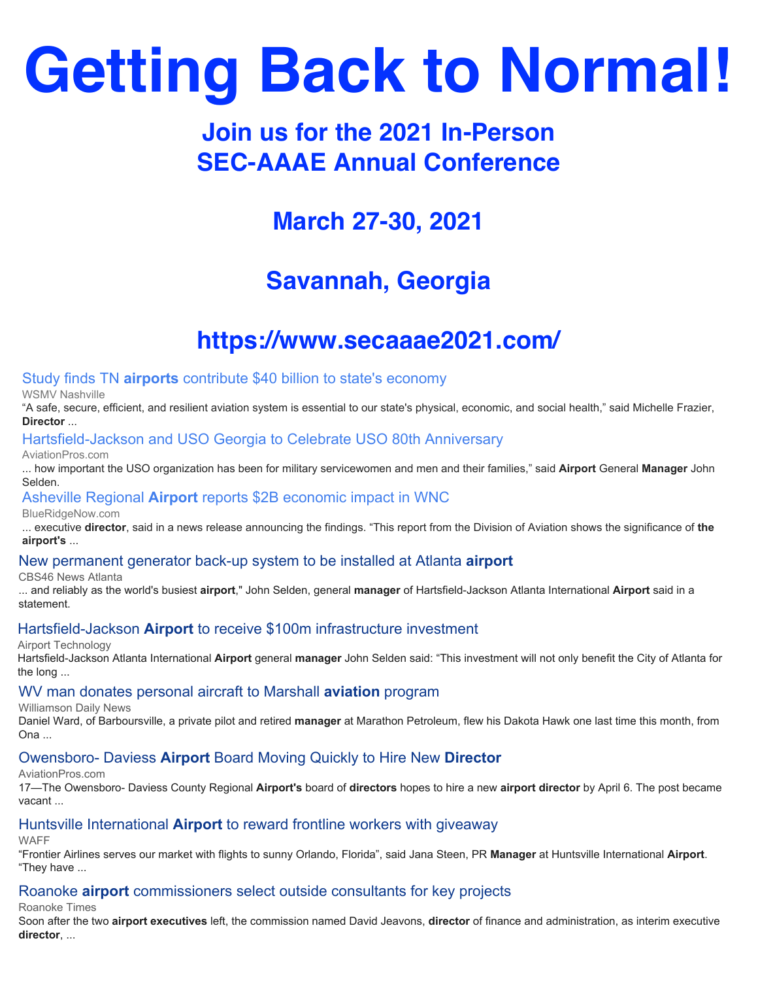# **Getting Back to Normal!**

## **Join us for the 2021 In-Person SEC-AAAE Annual Conference**

## **March 27-30, 2021**

## **Savannah, Georgia**

## **<https://www.secaaae2021.com/>**

#### [Study finds TN](https://www.google.com/url?rct=j&sa=t&url=https://www.wsmv.com/news/tennessee/study-finds-airports-contribute-40-billion-to-state-s-economy/article_5f784184-6632-11eb-b5bc-4f5bdcff3d36.html&ct=ga&cd=CAEYAioUMTQxMDY5NDQ3ODk0ODkyNDg1NTAyHDE0ODBmMGNhZjliMjExMmU6Y29tOmVuOlVTOlI&usg=AFQjCNGIJebkenfWC2lUJVzRxCZWufwX7Q) **[airports](https://www.google.com/url?rct=j&sa=t&url=https://www.wsmv.com/news/tennessee/study-finds-airports-contribute-40-billion-to-state-s-economy/article_5f784184-6632-11eb-b5bc-4f5bdcff3d36.html&ct=ga&cd=CAEYAioUMTQxMDY5NDQ3ODk0ODkyNDg1NTAyHDE0ODBmMGNhZjliMjExMmU6Y29tOmVuOlVTOlI&usg=AFQjCNGIJebkenfWC2lUJVzRxCZWufwX7Q)** [contribute \\$40 billion to state's economy](https://www.google.com/url?rct=j&sa=t&url=https://www.wsmv.com/news/tennessee/study-finds-airports-contribute-40-billion-to-state-s-economy/article_5f784184-6632-11eb-b5bc-4f5bdcff3d36.html&ct=ga&cd=CAEYAioUMTQxMDY5NDQ3ODk0ODkyNDg1NTAyHDE0ODBmMGNhZjliMjExMmU6Y29tOmVuOlVTOlI&usg=AFQjCNGIJebkenfWC2lUJVzRxCZWufwX7Q)

WSMV Nashville

"A safe, secure, efficient, and resilient aviation system is essential to our state's physical, economic, and social health," said Michelle Frazier, **Director** ...

#### [Hartsfield-Jackson and USO Georgia to Celebrate USO 80th Anniversary](https://www.google.com/url?rct=j&sa=t&url=https://www.aviationpros.com/airports/press-release/21208778/hartsfieldjackson-atlanta-international-airport-atl-hartsfieldjackson-and-uso-georgia-to-celebrate-uso-80th-anniversary&ct=ga&cd=CAEYACoUMTE0MDQzNTc5NzY5NTMyMDk1OTMyHDhlY2I2NzFkZWZlZDY4MWU6Y29tOmVuOlVTOlI&usg=AFQjCNEF2_cQPaMO6ca9Guz_Ep-Wn_cYTw)

AviationPros.com

... how important the USO organization has been for military servicewomen and men and their families," said **Airport** General **Manager** John Selden.

#### [Asheville Regional](https://www.google.com/url?rct=j&sa=t&url=https://www.blueridgenow.com/story/news/2021/01/29/asheville-regional-airport-reports-2-b-economic-impact-wnc/4313282001/&ct=ga&cd=CAEYACoUMTQ4NTA5MTY5OTA3NjIyNjA5NjkyHDE0ODBmMGNhZjliMjExMmU6Y29tOmVuOlVTOlI&usg=AFQjCNHNy5vOdStUY7yrJfaUGCnC48rhYw) **[Airport](https://www.google.com/url?rct=j&sa=t&url=https://www.blueridgenow.com/story/news/2021/01/29/asheville-regional-airport-reports-2-b-economic-impact-wnc/4313282001/&ct=ga&cd=CAEYACoUMTQ4NTA5MTY5OTA3NjIyNjA5NjkyHDE0ODBmMGNhZjliMjExMmU6Y29tOmVuOlVTOlI&usg=AFQjCNHNy5vOdStUY7yrJfaUGCnC48rhYw)** [reports \\$2B economic impact in WNC](https://www.google.com/url?rct=j&sa=t&url=https://www.blueridgenow.com/story/news/2021/01/29/asheville-regional-airport-reports-2-b-economic-impact-wnc/4313282001/&ct=ga&cd=CAEYACoUMTQ4NTA5MTY5OTA3NjIyNjA5NjkyHDE0ODBmMGNhZjliMjExMmU6Y29tOmVuOlVTOlI&usg=AFQjCNHNy5vOdStUY7yrJfaUGCnC48rhYw)

BlueRidgeNow.com

... executive **director**, said in a news release announcing the findings. "This report from the Division of Aviation shows the significance of **the airport's** ...

#### [New permanent generator back-up system to be installed at Atlanta](https://www.google.com/url?rct=j&sa=t&url=https://www.cbs46.com/news/new-permanent-generator-back-up-system-to-be-installed-at-atlanta-airport/article_b954ec4a-7067-11eb-a582-830615b6c7d4.html&ct=ga&cd=CAEYASoUMTA5NjgyMjgwMTgyMTQxMjIzNTkyHDhlY2I2NzFkZWZlZDY4MWU6Y29tOmVuOlVTOlI&usg=AFQjCNFDxU8RI6D1CHoNqyiEHcGI0Pw8jQ) **[airport](https://www.google.com/url?rct=j&sa=t&url=https://www.cbs46.com/news/new-permanent-generator-back-up-system-to-be-installed-at-atlanta-airport/article_b954ec4a-7067-11eb-a582-830615b6c7d4.html&ct=ga&cd=CAEYASoUMTA5NjgyMjgwMTgyMTQxMjIzNTkyHDhlY2I2NzFkZWZlZDY4MWU6Y29tOmVuOlVTOlI&usg=AFQjCNFDxU8RI6D1CHoNqyiEHcGI0Pw8jQ)**

CBS46 News Atlanta

... and reliably as the world's busiest **airport**," John Selden, general **manager** of Hartsfield-Jackson Atlanta International **Airport** said in a statement.

#### [Hartsfield-Jackson](https://www.google.com/url?rct=j&sa=t&url=https://www.airport-technology.com/news/hartsfield-jackson-atlanta-airport-investment/&ct=ga&cd=CAEYACoTMTQyNjcyODkxMDQxMDAzMDA4MTIcOGVjYjY3MWRlZmVkNjgxZTpjb206ZW46VVM6Ug&usg=AFQjCNHczTJSOin0XB7x715HgRb8H9bNmw) **[Airport](https://www.google.com/url?rct=j&sa=t&url=https://www.airport-technology.com/news/hartsfield-jackson-atlanta-airport-investment/&ct=ga&cd=CAEYACoTMTQyNjcyODkxMDQxMDAzMDA4MTIcOGVjYjY3MWRlZmVkNjgxZTpjb206ZW46VVM6Ug&usg=AFQjCNHczTJSOin0XB7x715HgRb8H9bNmw)** [to receive \\$100m infrastructure investment](https://www.google.com/url?rct=j&sa=t&url=https://www.airport-technology.com/news/hartsfield-jackson-atlanta-airport-investment/&ct=ga&cd=CAEYACoTMTQyNjcyODkxMDQxMDAzMDA4MTIcOGVjYjY3MWRlZmVkNjgxZTpjb206ZW46VVM6Ug&usg=AFQjCNHczTJSOin0XB7x715HgRb8H9bNmw)

Airport Technology

Hartsfield-Jackson Atlanta International **Airport** general **manager** John Selden said: "This investment will not only benefit the City of Atlanta for the long ...

#### [WV man donates personal aircraft to Marshall](https://www.google.com/url?rct=j&sa=t&url=https://www.williamsondailynews.com/news/wv-man-donates-personal-aircraft-to-marshall-aviation-program/article_ab014afd-45c0-5f1c-aaf8-827255f7aa71.html&ct=ga&cd=CAEYAioUMTM3ODQ0MTU4MjE0ODQzMDIwOTkyHDhlY2I2NzFkZWZlZDY4MWU6Y29tOmVuOlVTOlI&usg=AFQjCNFWLfLt7UBhycBhV5lshEzPyqU4CQ) **[aviation](https://www.google.com/url?rct=j&sa=t&url=https://www.williamsondailynews.com/news/wv-man-donates-personal-aircraft-to-marshall-aviation-program/article_ab014afd-45c0-5f1c-aaf8-827255f7aa71.html&ct=ga&cd=CAEYAioUMTM3ODQ0MTU4MjE0ODQzMDIwOTkyHDhlY2I2NzFkZWZlZDY4MWU6Y29tOmVuOlVTOlI&usg=AFQjCNFWLfLt7UBhycBhV5lshEzPyqU4CQ)** [program](https://www.google.com/url?rct=j&sa=t&url=https://www.williamsondailynews.com/news/wv-man-donates-personal-aircraft-to-marshall-aviation-program/article_ab014afd-45c0-5f1c-aaf8-827255f7aa71.html&ct=ga&cd=CAEYAioUMTM3ODQ0MTU4MjE0ODQzMDIwOTkyHDhlY2I2NzFkZWZlZDY4MWU6Y29tOmVuOlVTOlI&usg=AFQjCNFWLfLt7UBhycBhV5lshEzPyqU4CQ)

Williamson Daily News

Daniel Ward, of Barboursville, a private pilot and retired **manager** at Marathon Petroleum, flew his Dakota Hawk one last time this month, from Ona ...

#### [Owensboro- Daviess](https://www.google.com/url?rct=j&sa=t&url=https://www.aviationpros.com/airports/news/21210588/owensboro-daviess-airport-board-moving-quickly-to-hire-new-director&ct=ga&cd=CAEYACoUMTg0MzYxODM5MTQ3NTkzNzc2NzIyHDE0ODBmMGNhZjliMjExMmU6Y29tOmVuOlVTOlI&usg=AFQjCNF9ZM2VyulQJ3MPYYF_1c66kLv4iA) **[Airport](https://www.google.com/url?rct=j&sa=t&url=https://www.aviationpros.com/airports/news/21210588/owensboro-daviess-airport-board-moving-quickly-to-hire-new-director&ct=ga&cd=CAEYACoUMTg0MzYxODM5MTQ3NTkzNzc2NzIyHDE0ODBmMGNhZjliMjExMmU6Y29tOmVuOlVTOlI&usg=AFQjCNF9ZM2VyulQJ3MPYYF_1c66kLv4iA)** [Board Moving Quickly to Hire New](https://www.google.com/url?rct=j&sa=t&url=https://www.aviationpros.com/airports/news/21210588/owensboro-daviess-airport-board-moving-quickly-to-hire-new-director&ct=ga&cd=CAEYACoUMTg0MzYxODM5MTQ3NTkzNzc2NzIyHDE0ODBmMGNhZjliMjExMmU6Y29tOmVuOlVTOlI&usg=AFQjCNF9ZM2VyulQJ3MPYYF_1c66kLv4iA) **[Director](https://www.google.com/url?rct=j&sa=t&url=https://www.aviationpros.com/airports/news/21210588/owensboro-daviess-airport-board-moving-quickly-to-hire-new-director&ct=ga&cd=CAEYACoUMTg0MzYxODM5MTQ3NTkzNzc2NzIyHDE0ODBmMGNhZjliMjExMmU6Y29tOmVuOlVTOlI&usg=AFQjCNF9ZM2VyulQJ3MPYYF_1c66kLv4iA)**

AviationPros.com

17—The Owensboro- Daviess County Regional **Airport's** board of **directors** hopes to hire a new **airport director** by April 6. The post became vacant ...

#### [Huntsville International](https://www.google.com/url?rct=j&sa=t&url=https://www.waff.com/2021/02/18/huntsville-international-airport-reward-frontline-workers-with-giveaway/&ct=ga&cd=CAEYASoTNTE5NTYzNzU0MDc2OTM4MTEwNzIcOGVjYjY3MWRlZmVkNjgxZTpjb206ZW46VVM6Ug&usg=AFQjCNHqveAndxkJ40uG2Sq70PFvVKDLow) **[Airport](https://www.google.com/url?rct=j&sa=t&url=https://www.waff.com/2021/02/18/huntsville-international-airport-reward-frontline-workers-with-giveaway/&ct=ga&cd=CAEYASoTNTE5NTYzNzU0MDc2OTM4MTEwNzIcOGVjYjY3MWRlZmVkNjgxZTpjb206ZW46VVM6Ug&usg=AFQjCNHqveAndxkJ40uG2Sq70PFvVKDLow)** [to reward frontline workers with giveaway](https://www.google.com/url?rct=j&sa=t&url=https://www.waff.com/2021/02/18/huntsville-international-airport-reward-frontline-workers-with-giveaway/&ct=ga&cd=CAEYASoTNTE5NTYzNzU0MDc2OTM4MTEwNzIcOGVjYjY3MWRlZmVkNjgxZTpjb206ZW46VVM6Ug&usg=AFQjCNHqveAndxkJ40uG2Sq70PFvVKDLow)

**WAFF** 

"Frontier Airlines serves our market with flights to sunny Orlando, Florida", said Jana Steen, PR **Manager** at Huntsville International **Airport**. "They have ...

#### [Roanoke](https://www.google.com/url?rct=j&sa=t&url=https://roanoke.com/business/local/roanoke-airport-commissioners-select-outside-consultants-for-key-projects/article_e8560dce-7087-11eb-97b5-6f6cb5557262.html&ct=ga&cd=CAEYACoUMTY1NzM5NTY5ODYzNTYzOTYyNDEyHDE0ODBmMGNhZjliMjExMmU6Y29tOmVuOlVTOlI&usg=AFQjCNE6ZQY0zDEoaAyeI1n23gWUulbaCg) **[airport](https://www.google.com/url?rct=j&sa=t&url=https://roanoke.com/business/local/roanoke-airport-commissioners-select-outside-consultants-for-key-projects/article_e8560dce-7087-11eb-97b5-6f6cb5557262.html&ct=ga&cd=CAEYACoUMTY1NzM5NTY5ODYzNTYzOTYyNDEyHDE0ODBmMGNhZjliMjExMmU6Y29tOmVuOlVTOlI&usg=AFQjCNE6ZQY0zDEoaAyeI1n23gWUulbaCg)** [commissioners select outside consultants for key projects](https://www.google.com/url?rct=j&sa=t&url=https://roanoke.com/business/local/roanoke-airport-commissioners-select-outside-consultants-for-key-projects/article_e8560dce-7087-11eb-97b5-6f6cb5557262.html&ct=ga&cd=CAEYACoUMTY1NzM5NTY5ODYzNTYzOTYyNDEyHDE0ODBmMGNhZjliMjExMmU6Y29tOmVuOlVTOlI&usg=AFQjCNE6ZQY0zDEoaAyeI1n23gWUulbaCg)

Roanoke Times

Soon after the two **airport executives** left, the commission named David Jeavons, **director** of finance and administration, as interim executive **director**, ...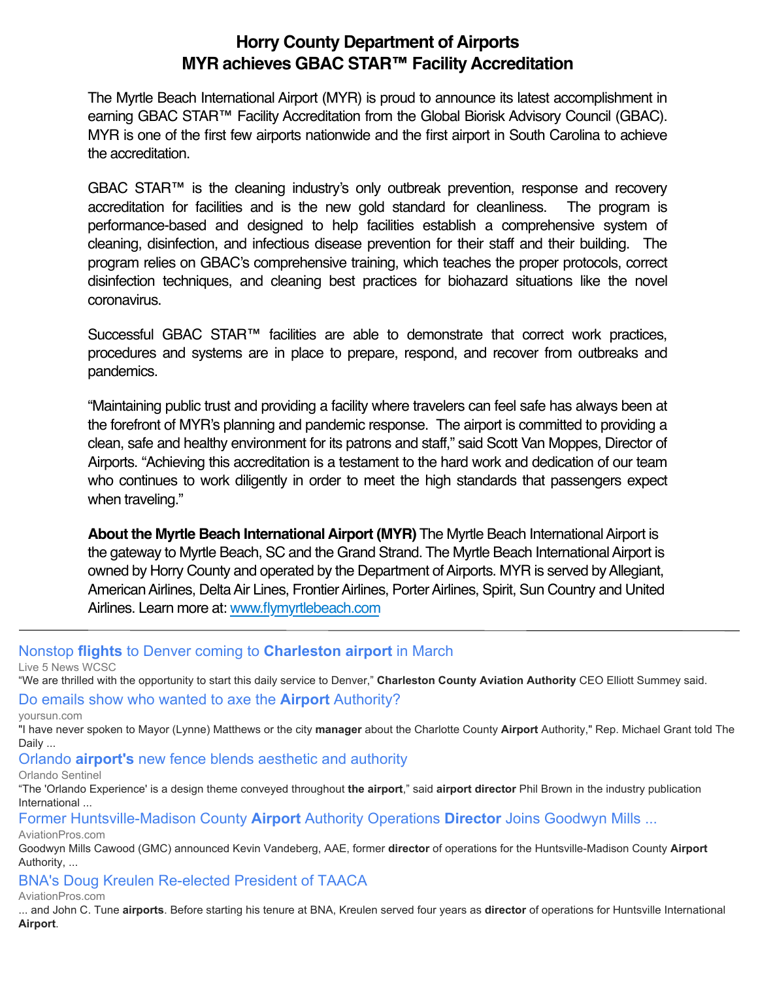#### **Horry County Department of Airports MYR achieves GBAC STAR™ Facility Accreditation**

The Myrtle Beach International Airport (MYR) is proud to announce its latest accomplishment in earning GBAC STAR™ Facility Accreditation from the Global Biorisk Advisory Council (GBAC). MYR is one of the first few airports nationwide and the first airport in South Carolina to achieve the accreditation.

GBAC STAR™ is the cleaning industry's only outbreak prevention, response and recovery accreditation for facilities and is the new gold standard for cleanliness. The program is performance-based and designed to help facilities establish a comprehensive system of cleaning, disinfection, and infectious disease prevention for their staff and their building. The program relies on GBAC's comprehensive training, which teaches the proper protocols, correct disinfection techniques, and cleaning best practices for biohazard situations like the novel coronavirus.

Successful GBAC STAR™ facilities are able to demonstrate that correct work practices, procedures and systems are in place to prepare, respond, and recover from outbreaks and pandemics.

"Maintaining public trust and providing a facility where travelers can feel safe has always been at the forefront of MYR's planning and pandemic response. The airport is committed to providing a clean, safe and healthy environment for its patrons and staff," said Scott Van Moppes, Director of Airports. "Achieving this accreditation is a testament to the hard work and dedication of our team who continues to work diligently in order to meet the high standards that passengers expect when traveling."

**About the Myrtle Beach International Airport (MYR)** The Myrtle Beach International Airport is the gateway to Myrtle Beach, SC and the Grand Strand. The Myrtle Beach International Airport is owned by Horry County and operated by the Department of Airports. MYR is served by Allegiant, American Airlines, Delta Air Lines, Frontier Airlines, Porter Airlines, Spirit, Sun Country and United Airlines. Learn more at: [www.flymyrtlebeach.com](http://www.flymyrtlebeach.com)

#### [Nonstop](https://www.google.com/url?rct=j&sa=t&url=https://www.live5news.com/2021/01/08/nonstop-flights-denver-coming-charleston-airport-march/&ct=ga&cd=CAEYACoUMTY5OTI3MzQzNzU4ODQ1ODQyNTgyGjMyNjhmNWZjZDY0NjIzMmM6Y29tOmVuOlVT&usg=AFQjCNETc8v8ghPNaWlfUHxIy4dcVNeOig) **[flights](https://www.google.com/url?rct=j&sa=t&url=https://www.live5news.com/2021/01/08/nonstop-flights-denver-coming-charleston-airport-march/&ct=ga&cd=CAEYACoUMTY5OTI3MzQzNzU4ODQ1ODQyNTgyGjMyNjhmNWZjZDY0NjIzMmM6Y29tOmVuOlVT&usg=AFQjCNETc8v8ghPNaWlfUHxIy4dcVNeOig)** [to Denver coming to](https://www.google.com/url?rct=j&sa=t&url=https://www.live5news.com/2021/01/08/nonstop-flights-denver-coming-charleston-airport-march/&ct=ga&cd=CAEYACoUMTY5OTI3MzQzNzU4ODQ1ODQyNTgyGjMyNjhmNWZjZDY0NjIzMmM6Y29tOmVuOlVT&usg=AFQjCNETc8v8ghPNaWlfUHxIy4dcVNeOig) **[Charleston airport](https://www.google.com/url?rct=j&sa=t&url=https://www.live5news.com/2021/01/08/nonstop-flights-denver-coming-charleston-airport-march/&ct=ga&cd=CAEYACoUMTY5OTI3MzQzNzU4ODQ1ODQyNTgyGjMyNjhmNWZjZDY0NjIzMmM6Y29tOmVuOlVT&usg=AFQjCNETc8v8ghPNaWlfUHxIy4dcVNeOig)** [in March](https://www.google.com/url?rct=j&sa=t&url=https://www.live5news.com/2021/01/08/nonstop-flights-denver-coming-charleston-airport-march/&ct=ga&cd=CAEYACoUMTY5OTI3MzQzNzU4ODQ1ODQyNTgyGjMyNjhmNWZjZDY0NjIzMmM6Y29tOmVuOlVT&usg=AFQjCNETc8v8ghPNaWlfUHxIy4dcVNeOig)

Live 5 News WCSC

"We are thrilled with the opportunity to start this daily service to Denver," **Charleston County Aviation Authority** CEO Elliott Summey said.

#### [Do emails show who wanted to axe the](https://www.google.com/url?rct=j&sa=t&url=https://www.yoursun.com/charlotte/news/do-emails-show-who-wanted-to-axe-the-airport-authority/article_205850dc-51ee-11eb-8716-277ff2ab9fb9.html&ct=ga&cd=CAEYACoUMTUxODU2MTA0NTIwMTM1NDcwMTIyHDhlY2I2NzFkZWZlZDY4MWU6Y29tOmVuOlVTOlI&usg=AFQjCNFaWhDEzKpIYnVhXn_8OzukJ2_q2w) **[Airport](https://www.google.com/url?rct=j&sa=t&url=https://www.yoursun.com/charlotte/news/do-emails-show-who-wanted-to-axe-the-airport-authority/article_205850dc-51ee-11eb-8716-277ff2ab9fb9.html&ct=ga&cd=CAEYACoUMTUxODU2MTA0NTIwMTM1NDcwMTIyHDhlY2I2NzFkZWZlZDY4MWU6Y29tOmVuOlVTOlI&usg=AFQjCNFaWhDEzKpIYnVhXn_8OzukJ2_q2w)** [Authority?](https://www.google.com/url?rct=j&sa=t&url=https://www.yoursun.com/charlotte/news/do-emails-show-who-wanted-to-axe-the-airport-authority/article_205850dc-51ee-11eb-8716-277ff2ab9fb9.html&ct=ga&cd=CAEYACoUMTUxODU2MTA0NTIwMTM1NDcwMTIyHDhlY2I2NzFkZWZlZDY4MWU6Y29tOmVuOlVTOlI&usg=AFQjCNFaWhDEzKpIYnVhXn_8OzukJ2_q2w)

yoursun.com

"I have never spoken to Mayor (Lynne) Matthews or the city **manager** about the Charlotte County **Airport** Authority," Rep. Michael Grant told The Daily ...

[Orlando](https://www.google.com/url?rct=j&sa=t&url=https://www.orlandosentinel.com/news/transportation/os-ne-orlando-airport-security-fence-20210111-v75sty6r5besxprfr6bi6zf2se-story.html&ct=ga&cd=CAEYAioUMTYxMDI4NTUyMzY0OTIyMjQ3NTIyHDE0ODBmMGNhZjliMjExMmU6Y29tOmVuOlVTOlI&usg=AFQjCNGMmlbMhiyV0NBdvBDdoFdotJL-3g) **[airport's](https://www.google.com/url?rct=j&sa=t&url=https://www.orlandosentinel.com/news/transportation/os-ne-orlando-airport-security-fence-20210111-v75sty6r5besxprfr6bi6zf2se-story.html&ct=ga&cd=CAEYAioUMTYxMDI4NTUyMzY0OTIyMjQ3NTIyHDE0ODBmMGNhZjliMjExMmU6Y29tOmVuOlVTOlI&usg=AFQjCNGMmlbMhiyV0NBdvBDdoFdotJL-3g)** [new fence blends aesthetic and authority](https://www.google.com/url?rct=j&sa=t&url=https://www.orlandosentinel.com/news/transportation/os-ne-orlando-airport-security-fence-20210111-v75sty6r5besxprfr6bi6zf2se-story.html&ct=ga&cd=CAEYAioUMTYxMDI4NTUyMzY0OTIyMjQ3NTIyHDE0ODBmMGNhZjliMjExMmU6Y29tOmVuOlVTOlI&usg=AFQjCNGMmlbMhiyV0NBdvBDdoFdotJL-3g)

Orlando Sentinel

"The 'Orlando Experience' is a design theme conveyed throughout **the airport**," said **airport director** Phil Brown in the industry publication International ...

[Former Huntsville-Madison County](https://www.google.com/url?rct=j&sa=t&url=https://www.aviationpros.com/airports/press-release/21205351/goodwyn-mills-cawood-former-huntsvillemadison-county-airport-authority-operations-director-joins-goodwyn-mills-cawood-in-huntsville-al&ct=ga&cd=CAEYAyoUMTYxMDI4NTUyMzY0OTIyMjQ3NTIyHDE0ODBmMGNhZjliMjExMmU6Y29tOmVuOlVTOlI&usg=AFQjCNGGfpLEdPgvazFxALscNvfCusWZ4Q) **[Airport](https://www.google.com/url?rct=j&sa=t&url=https://www.aviationpros.com/airports/press-release/21205351/goodwyn-mills-cawood-former-huntsvillemadison-county-airport-authority-operations-director-joins-goodwyn-mills-cawood-in-huntsville-al&ct=ga&cd=CAEYAyoUMTYxMDI4NTUyMzY0OTIyMjQ3NTIyHDE0ODBmMGNhZjliMjExMmU6Y29tOmVuOlVTOlI&usg=AFQjCNGGfpLEdPgvazFxALscNvfCusWZ4Q)** [Authority Operations](https://www.google.com/url?rct=j&sa=t&url=https://www.aviationpros.com/airports/press-release/21205351/goodwyn-mills-cawood-former-huntsvillemadison-county-airport-authority-operations-director-joins-goodwyn-mills-cawood-in-huntsville-al&ct=ga&cd=CAEYAyoUMTYxMDI4NTUyMzY0OTIyMjQ3NTIyHDE0ODBmMGNhZjliMjExMmU6Y29tOmVuOlVTOlI&usg=AFQjCNGGfpLEdPgvazFxALscNvfCusWZ4Q) **[Director](https://www.google.com/url?rct=j&sa=t&url=https://www.aviationpros.com/airports/press-release/21205351/goodwyn-mills-cawood-former-huntsvillemadison-county-airport-authority-operations-director-joins-goodwyn-mills-cawood-in-huntsville-al&ct=ga&cd=CAEYAyoUMTYxMDI4NTUyMzY0OTIyMjQ3NTIyHDE0ODBmMGNhZjliMjExMmU6Y29tOmVuOlVTOlI&usg=AFQjCNGGfpLEdPgvazFxALscNvfCusWZ4Q)** [Joins Goodwyn Mills ...](https://www.google.com/url?rct=j&sa=t&url=https://www.aviationpros.com/airports/press-release/21205351/goodwyn-mills-cawood-former-huntsvillemadison-county-airport-authority-operations-director-joins-goodwyn-mills-cawood-in-huntsville-al&ct=ga&cd=CAEYAyoUMTYxMDI4NTUyMzY0OTIyMjQ3NTIyHDE0ODBmMGNhZjliMjExMmU6Y29tOmVuOlVTOlI&usg=AFQjCNGGfpLEdPgvazFxALscNvfCusWZ4Q)

AviationPros.com

Goodwyn Mills Cawood (GMC) announced Kevin Vandeberg, AAE, former **director** of operations for the Huntsville-Madison County **Airport** Authority, ...

[BNA's Doug Kreulen Re-elected President of TAACA](https://www.google.com/url?rct=j&sa=t&url=https://www.aviationpros.com/airports/press-release/21205400/bna-nashville-international-airport-bnas-doug-kreulen-reelected-president-of-taaca&ct=ga&cd=CAEYCCoUMTYxMDI4NTUyMzY0OTIyMjQ3NTIyHDE0ODBmMGNhZjliMjExMmU6Y29tOmVuOlVTOlI&usg=AFQjCNFqFF8mlrfSNq2Qway5nai9VcT46w)

AviationPros.com

... and John C. Tune **airports**. Before starting his tenure at BNA, Kreulen served four years as **director** of operations for Huntsville International **Airport**.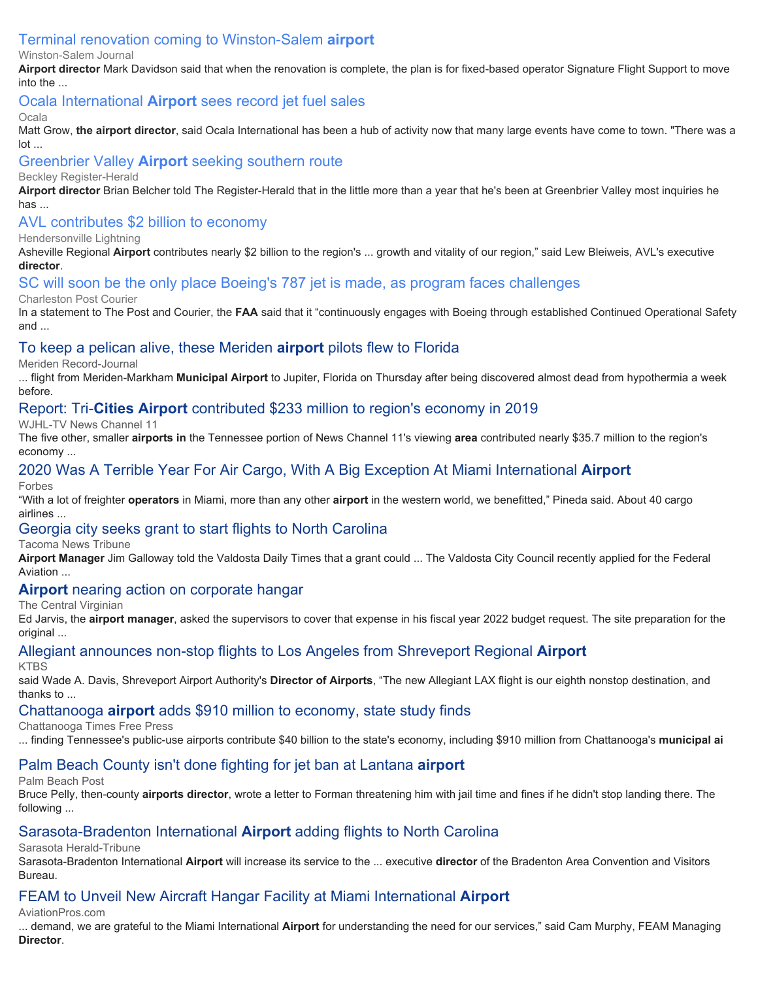#### [Terminal renovation coming to Winston-Salem](https://www.google.com/url?rct=j&sa=t&url=https://journalnow.com/news/local/govt-and-politics/terminal-renovation-coming-to-winston-salem-airport/article_40d4db9c-5f3a-11eb-85e8-9b226cb8c237.html&ct=ga&cd=CAEYCCoUMTc0OTgzNTI2ODU1ODU5OTcxNjQyHDE0ODBmMGNhZjliMjExMmU6Y29tOmVuOlVTOlI&usg=AFQjCNFrIEqQVWYrt0FGKEl4y-SC1WT5wA) **[airport](https://www.google.com/url?rct=j&sa=t&url=https://journalnow.com/news/local/govt-and-politics/terminal-renovation-coming-to-winston-salem-airport/article_40d4db9c-5f3a-11eb-85e8-9b226cb8c237.html&ct=ga&cd=CAEYCCoUMTc0OTgzNTI2ODU1ODU5OTcxNjQyHDE0ODBmMGNhZjliMjExMmU6Y29tOmVuOlVTOlI&usg=AFQjCNFrIEqQVWYrt0FGKEl4y-SC1WT5wA)**

#### Winston-Salem Journal

**Airport director** Mark Davidson said that when the renovation is complete, the plan is for fixed-based operator Signature Flight Support to move into the ...

#### [Ocala International](https://www.google.com/url?rct=j&sa=t&url=https://www.ocala.com/story/news/2021/02/03/ocala-international-airport-sees-record-jet-fuel-sales/4369744001/&ct=ga&cd=CAEYACoSNzMyNzI3NDk5NDAwNDY4NTY1MhwxNDgwZjBjYWY5YjIxMTJlOmNvbTplbjpVUzpS&usg=AFQjCNGgOC3BDTzgqsOPVuu3249tzrurMA) **[Airport](https://www.google.com/url?rct=j&sa=t&url=https://www.ocala.com/story/news/2021/02/03/ocala-international-airport-sees-record-jet-fuel-sales/4369744001/&ct=ga&cd=CAEYACoSNzMyNzI3NDk5NDAwNDY4NTY1MhwxNDgwZjBjYWY5YjIxMTJlOmNvbTplbjpVUzpS&usg=AFQjCNGgOC3BDTzgqsOPVuu3249tzrurMA)** [sees record jet fuel sales](https://www.google.com/url?rct=j&sa=t&url=https://www.ocala.com/story/news/2021/02/03/ocala-international-airport-sees-record-jet-fuel-sales/4369744001/&ct=ga&cd=CAEYACoSNzMyNzI3NDk5NDAwNDY4NTY1MhwxNDgwZjBjYWY5YjIxMTJlOmNvbTplbjpVUzpS&usg=AFQjCNGgOC3BDTzgqsOPVuu3249tzrurMA)

#### Ocala

Matt Grow, **the airport director**, said Ocala International has been a hub of activity now that many large events have come to town. "There was a lot ...

[Greenbrier Valley](https://www.google.com/url?rct=j&sa=t&url=https://www.register-herald.com/news/state_region/greenbrier-valley-airport-seeking-southern-route/article_2e6e7fb0-55ed-511e-b3f5-782df23b234b.html&ct=ga&cd=CAEYECoUMTc0OTgzNTI2ODU1ODU5OTcxNjQyHDE0ODBmMGNhZjliMjExMmU6Y29tOmVuOlVTOlI&usg=AFQjCNGFJiQr6TCGdSDK8fYnC23xbIrpSg) **[Airport](https://www.google.com/url?rct=j&sa=t&url=https://www.register-herald.com/news/state_region/greenbrier-valley-airport-seeking-southern-route/article_2e6e7fb0-55ed-511e-b3f5-782df23b234b.html&ct=ga&cd=CAEYECoUMTc0OTgzNTI2ODU1ODU5OTcxNjQyHDE0ODBmMGNhZjliMjExMmU6Y29tOmVuOlVTOlI&usg=AFQjCNGFJiQr6TCGdSDK8fYnC23xbIrpSg)** [seeking southern route](https://www.google.com/url?rct=j&sa=t&url=https://www.register-herald.com/news/state_region/greenbrier-valley-airport-seeking-southern-route/article_2e6e7fb0-55ed-511e-b3f5-782df23b234b.html&ct=ga&cd=CAEYECoUMTc0OTgzNTI2ODU1ODU5OTcxNjQyHDE0ODBmMGNhZjliMjExMmU6Y29tOmVuOlVTOlI&usg=AFQjCNGFJiQr6TCGdSDK8fYnC23xbIrpSg)

#### Beckley Register-Herald

**Airport director** Brian Belcher told The Register-Herald that in the little more than a year that he's been at Greenbrier Valley most inquiries he has ...

#### [AVL contributes \\$2 billion to economy](https://www.google.com/url?rct=j&sa=t&url=https://www.hendersonvillelightning.com/business/10057-avl-contributes-2-billion-to-economy.html&ct=ga&cd=CAEYESoUMTc0OTgzNTI2ODU1ODU5OTcxNjQyHDE0ODBmMGNhZjliMjExMmU6Y29tOmVuOlVTOlI&usg=AFQjCNFkL4yN2mdVCHbAEgmSVpshylXRGg)

#### Hendersonville Lightning

Asheville Regional **Airport** contributes nearly \$2 billion to the region's ... growth and vitality of our region," said Lew Bleiweis, AVL's executive **director**.

#### [SC will soon be the only place Boeing's 787 jet is made, as program faces challenges](https://www.google.com/url?rct=j&sa=t&url=https://www.postandcourier.com/business/sc-will-soon-be-the-only-place-boeings-787-jet-is-made-as-program-faces/article_5a8f5124-64b8-11eb-bc65-27b4f43f6d33.html&ct=ga&cd=CAEYASoTNjIzNTY2ODgzNDUxMTYzMjkxOTIcNjg3ZmU2YTEwM2QxMjg5Yzpjb206ZW46VVM6Ug&usg=AFQjCNECseW2FLOz89oL-unXhj5Mff9GoQ)

#### Charleston Post Courier

In a statement to The Post and Courier, the **FAA** said that it "continuously engages with Boeing through established Continued Operational Safety and ...

#### [To keep a pelican alive, these Meriden](https://www.google.com/url?rct=j&sa=t&url=https://www.myrecordjournal.com/News/Meriden/Meriden-News/Mother-daughter-pilot-team-fly-pelican-from-Meriden-Markham-to-Jupiter-Fl.html&ct=ga&cd=CAEYBioUMTYxMDIwNDEwMDc5MTA1ODQ3MTcyGjEyYzMwOTdlZDc1NDlmN2U6Y29tOmVuOlVT&usg=AFQjCNGmP2l7aykwGZlXdnckunrDlZrnPQ) **[airport](https://www.google.com/url?rct=j&sa=t&url=https://www.myrecordjournal.com/News/Meriden/Meriden-News/Mother-daughter-pilot-team-fly-pelican-from-Meriden-Markham-to-Jupiter-Fl.html&ct=ga&cd=CAEYBioUMTYxMDIwNDEwMDc5MTA1ODQ3MTcyGjEyYzMwOTdlZDc1NDlmN2U6Y29tOmVuOlVT&usg=AFQjCNGmP2l7aykwGZlXdnckunrDlZrnPQ)** [pilots flew to Florida](https://www.google.com/url?rct=j&sa=t&url=https://www.myrecordjournal.com/News/Meriden/Meriden-News/Mother-daughter-pilot-team-fly-pelican-from-Meriden-Markham-to-Jupiter-Fl.html&ct=ga&cd=CAEYBioUMTYxMDIwNDEwMDc5MTA1ODQ3MTcyGjEyYzMwOTdlZDc1NDlmN2U6Y29tOmVuOlVT&usg=AFQjCNGmP2l7aykwGZlXdnckunrDlZrnPQ)

Meriden Record-Journal

... flight from Meriden-Markham **Municipal Airport** to Jupiter, Florida on Thursday after being discovered almost dead from hypothermia a week before.

#### [Report: Tri-](https://www.google.com/url?rct=j&sa=t&url=https://www.wjhl.com/news/local/report-tri-cities-airport-contributed-233-million-to-regions-economy-in-2019/&ct=ga&cd=CAEYACoUMTYxMDIwNDEwMDc5MTA1ODQ3MTcyGjEyYzMwOTdlZDc1NDlmN2U6Y29tOmVuOlVT&usg=AFQjCNHZCl60uMdEzi4nhdPxavt-q6Ybeg)**[Cities Airport](https://www.google.com/url?rct=j&sa=t&url=https://www.wjhl.com/news/local/report-tri-cities-airport-contributed-233-million-to-regions-economy-in-2019/&ct=ga&cd=CAEYACoUMTYxMDIwNDEwMDc5MTA1ODQ3MTcyGjEyYzMwOTdlZDc1NDlmN2U6Y29tOmVuOlVT&usg=AFQjCNHZCl60uMdEzi4nhdPxavt-q6Ybeg)** [contributed \\$233 million to region's economy in 2019](https://www.google.com/url?rct=j&sa=t&url=https://www.wjhl.com/news/local/report-tri-cities-airport-contributed-233-million-to-regions-economy-in-2019/&ct=ga&cd=CAEYACoUMTYxMDIwNDEwMDc5MTA1ODQ3MTcyGjEyYzMwOTdlZDc1NDlmN2U6Y29tOmVuOlVT&usg=AFQjCNHZCl60uMdEzi4nhdPxavt-q6Ybeg)

WJHL-TV News Channel 11

The five other, smaller **airports in** the Tennessee portion of News Channel 11's viewing **area** contributed nearly \$35.7 million to the region's economy ...

#### [2020 Was A Terrible Year For Air Cargo, With A Big Exception At Miami International](https://www.google.com/url?rct=j&sa=t&url=https://www.forbes.com/sites/tedreed/2021/02/06/2020-was-a-terrible-year-for-air-cargo-with-a-big-exception-at-miami-international-airport/&ct=ga&cd=CAEYACoUMTQyNzk5MTc5NzM0NjIxNzkzMDUyHDhlY2I2NzFkZWZlZDY4MWU6Y29tOmVuOlVTOlI&usg=AFQjCNGryGT4NGY5GsOdNFhrPwAUvbLIdg) **[Airport](https://www.google.com/url?rct=j&sa=t&url=https://www.forbes.com/sites/tedreed/2021/02/06/2020-was-a-terrible-year-for-air-cargo-with-a-big-exception-at-miami-international-airport/&ct=ga&cd=CAEYACoUMTQyNzk5MTc5NzM0NjIxNzkzMDUyHDhlY2I2NzFkZWZlZDY4MWU6Y29tOmVuOlVTOlI&usg=AFQjCNGryGT4NGY5GsOdNFhrPwAUvbLIdg)**

Forbes "With a lot of freighter **operators** in Miami, more than any other **airport** in the western world, we benefitted," Pineda said. About 40 cargo airlines ...

#### [Georgia city seeks grant to start flights to North Carolina](https://www.google.com/url?rct=j&sa=t&url=https://www.thenewstribune.com/news/business/article249076110.html&ct=ga&cd=CAEYACoUMTc4MjQzMzY3NDU0OTYxMzAzMjYyHDhlY2I2NzFkZWZlZDY4MWU6Y29tOmVuOlVTOlI&usg=AFQjCNGaoWu2aFStS_fjHggHFCEGiB376Q)

Tacoma News Tribune

**Airport Manager** Jim Galloway told the Valdosta Daily Times that a grant could ... The Valdosta City Council recently applied for the Federal Aviation ...

#### **[Airport](https://www.google.com/url?rct=j&sa=t&url=https://www.thecentralvirginian.com/news/airport-nearing-action-on-corporate-hangar/article_bf72a566-665a-11eb-94d9-5bf14d8bda77.html&ct=ga&cd=CAEYACoSNTc1MzM1Nzk4NTM5NTI5ODQ3Mhw4ZWNiNjcxZGVmZWQ2ODFlOmNvbTplbjpVUzpS&usg=AFQjCNFXHp9KaM6L1MmyaLhYYtEKAKkIJw)** [nearing action on corporate hangar](https://www.google.com/url?rct=j&sa=t&url=https://www.thecentralvirginian.com/news/airport-nearing-action-on-corporate-hangar/article_bf72a566-665a-11eb-94d9-5bf14d8bda77.html&ct=ga&cd=CAEYACoSNTc1MzM1Nzk4NTM5NTI5ODQ3Mhw4ZWNiNjcxZGVmZWQ2ODFlOmNvbTplbjpVUzpS&usg=AFQjCNFXHp9KaM6L1MmyaLhYYtEKAKkIJw)

The Central Virginian

Ed Jarvis, the **airport manager**, asked the supervisors to cover that expense in his fiscal year 2022 budget request. The site preparation for the original ...

#### [Allegiant announces non-stop flights to Los Angeles from Shreveport Regional](https://www.google.com/url?rct=j&sa=t&url=https://www.ktbs.com/news/business/allegiant-announces-non-stop-flights-to-los-angeles-from-shreveport-regional-airport/article_0cd01332-6ab8-11eb-820a-134acfcd013f.html&ct=ga&cd=CAEYACoTNzg5Mjk1ODUxNzA1Mzg4ODQwMjIcMTQ4MGYwY2FmOWIyMTEyZTpjb206ZW46VVM6Ug&usg=AFQjCNGDR3LIOuipoPu5SYL9nuOjMdu27Q) **[Airport](https://www.google.com/url?rct=j&sa=t&url=https://www.ktbs.com/news/business/allegiant-announces-non-stop-flights-to-los-angeles-from-shreveport-regional-airport/article_0cd01332-6ab8-11eb-820a-134acfcd013f.html&ct=ga&cd=CAEYACoTNzg5Mjk1ODUxNzA1Mzg4ODQwMjIcMTQ4MGYwY2FmOWIyMTEyZTpjb206ZW46VVM6Ug&usg=AFQjCNGDR3LIOuipoPu5SYL9nuOjMdu27Q) KTBS**

said Wade A. Davis, Shreveport Airport Authority's **Director of Airports**, "The new Allegiant LAX flight is our eighth nonstop destination, and thanks to ...

#### [Chattanooga](https://www.google.com/url?rct=j&sa=t&url=https://www.timesfreepress.com/news/business/aroundregion/story/2021/feb/08/chattanooga-airport-adds-910-million-economy-state-study-finds/541263/&ct=ga&cd=CAEYASoTMzYzMDkwMDM3ODg2OTE0NDI5NjIaMTJjMzA5N2VkNzU0OWY3ZTpjb206ZW46VVM&usg=AFQjCNGOBdHskX3D5uSOPRIauuPj0rpEyA) **[airport](https://www.google.com/url?rct=j&sa=t&url=https://www.timesfreepress.com/news/business/aroundregion/story/2021/feb/08/chattanooga-airport-adds-910-million-economy-state-study-finds/541263/&ct=ga&cd=CAEYASoTMzYzMDkwMDM3ODg2OTE0NDI5NjIaMTJjMzA5N2VkNzU0OWY3ZTpjb206ZW46VVM&usg=AFQjCNGOBdHskX3D5uSOPRIauuPj0rpEyA)** [adds \\$910 million to economy, state study finds](https://www.google.com/url?rct=j&sa=t&url=https://www.timesfreepress.com/news/business/aroundregion/story/2021/feb/08/chattanooga-airport-adds-910-million-economy-state-study-finds/541263/&ct=ga&cd=CAEYASoTMzYzMDkwMDM3ODg2OTE0NDI5NjIaMTJjMzA5N2VkNzU0OWY3ZTpjb206ZW46VVM&usg=AFQjCNGOBdHskX3D5uSOPRIauuPj0rpEyA)

Chattanooga Times Free Press

... finding Tennessee's public-use airports contribute \$40 billion to the state's economy, including \$910 million from Chattanooga's **municipal ai**

#### [Palm Beach County isn't done fighting for jet ban at Lantana](https://www.google.com/url?rct=j&sa=t&url=https://www.palmbeachpost.com/story/news/local/2021/02/09/palm-beach-county-continues-jet-ban-fight-lantana-airport/4451386001/&ct=ga&cd=CAEYASoSMTU3NjY5OTI2MTgxNzYxNjYxMhwxNDgwZjBjYWY5YjIxMTJlOmNvbTplbjpVUzpS&usg=AFQjCNGbmha2tIR5K9H6K33QVWy73kMgaw) **[airport](https://www.google.com/url?rct=j&sa=t&url=https://www.palmbeachpost.com/story/news/local/2021/02/09/palm-beach-county-continues-jet-ban-fight-lantana-airport/4451386001/&ct=ga&cd=CAEYASoSMTU3NjY5OTI2MTgxNzYxNjYxMhwxNDgwZjBjYWY5YjIxMTJlOmNvbTplbjpVUzpS&usg=AFQjCNGbmha2tIR5K9H6K33QVWy73kMgaw)**

Palm Beach Post

Bruce Pelly, then-county **airports director**, wrote a letter to Forman threatening him with jail time and fines if he didn't stop landing there. The following ...

#### [Sarasota-Bradenton International](https://www.google.com/url?rct=j&sa=t&url=https://www.heraldtribune.com/story/business/travel/2021/02/09/allegiant-air-adding-flights-srq-north-carolina/4449437001/&ct=ga&cd=CAEYASoTNTY2Mjk4MTQ1NzU5MzEzMTM5MjIcMTQ4MGYwY2FmOWIyMTEyZTpjb206ZW46VVM6Ug&usg=AFQjCNFo11-upTg7n0NultpHPNo1jCvlmg) **[Airport](https://www.google.com/url?rct=j&sa=t&url=https://www.heraldtribune.com/story/business/travel/2021/02/09/allegiant-air-adding-flights-srq-north-carolina/4449437001/&ct=ga&cd=CAEYASoTNTY2Mjk4MTQ1NzU5MzEzMTM5MjIcMTQ4MGYwY2FmOWIyMTEyZTpjb206ZW46VVM6Ug&usg=AFQjCNFo11-upTg7n0NultpHPNo1jCvlmg)** [adding flights to North Carolina](https://www.google.com/url?rct=j&sa=t&url=https://www.heraldtribune.com/story/business/travel/2021/02/09/allegiant-air-adding-flights-srq-north-carolina/4449437001/&ct=ga&cd=CAEYASoTNTY2Mjk4MTQ1NzU5MzEzMTM5MjIcMTQ4MGYwY2FmOWIyMTEyZTpjb206ZW46VVM6Ug&usg=AFQjCNFo11-upTg7n0NultpHPNo1jCvlmg)

Sarasota Herald-Tribune

Sarasota-Bradenton International **Airport** will increase its service to the ... executive **director** of the Bradenton Area Convention and Visitors Bureau.

#### [FEAM to Unveil New Aircraft Hangar Facility at Miami International](https://www.google.com/url?rct=j&sa=t&url=https://www.aviationpros.com/aircraft/maintenance-providers/press-release/21209577/feam-maintenance-engineering-feam-to-unveil-new-aircraft-hangar-facility-at-miami-international-airport&ct=ga&cd=CAEYAioTNTY2Mjk4MTQ1NzU5MzEzMTM5MjIcMTQ4MGYwY2FmOWIyMTEyZTpjb206ZW46VVM6Ug&usg=AFQjCNFFmclLkUUof2X4p8T2y_Ue4cGHgw) **[Airport](https://www.google.com/url?rct=j&sa=t&url=https://www.aviationpros.com/aircraft/maintenance-providers/press-release/21209577/feam-maintenance-engineering-feam-to-unveil-new-aircraft-hangar-facility-at-miami-international-airport&ct=ga&cd=CAEYAioTNTY2Mjk4MTQ1NzU5MzEzMTM5MjIcMTQ4MGYwY2FmOWIyMTEyZTpjb206ZW46VVM6Ug&usg=AFQjCNFFmclLkUUof2X4p8T2y_Ue4cGHgw)**

AviationPros.com

... demand, we are grateful to the Miami International **Airport** for understanding the need for our services," said Cam Murphy, FEAM Managing **Director**.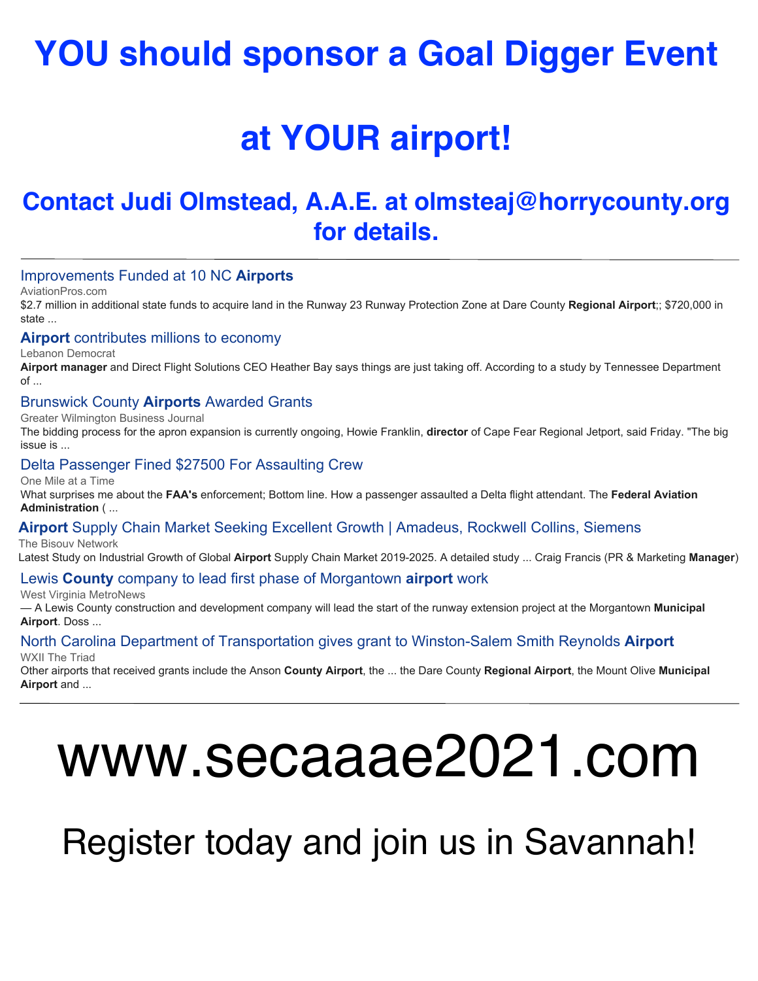## **YOU should sponsor a Goal Digger Event**

## **at YOUR airport!**

## **Contact Judi Olmstead, A.A.E. at olmsteaj@horrycounty.org for details.**

#### [Improvements Funded at 10 NC](https://www.google.com/url?rct=j&sa=t&url=https://www.aviationpros.com/airports/press-release/21211697/north-carolina-department-of-transportation-improvements-funded-at-10-nc-airports&ct=ga&cd=CAEYAioTNTM2NjQwMjk0MTQ0OTg3MTc0NzIaMTJjMzA5N2VkNzU0OWY3ZTpjb206ZW46VVM&usg=AFQjCNFoly4Ye7LbRm0TJvAskInO64PMKg) **[Airports](https://www.google.com/url?rct=j&sa=t&url=https://www.aviationpros.com/airports/press-release/21211697/north-carolina-department-of-transportation-improvements-funded-at-10-nc-airports&ct=ga&cd=CAEYAioTNTM2NjQwMjk0MTQ0OTg3MTc0NzIaMTJjMzA5N2VkNzU0OWY3ZTpjb206ZW46VVM&usg=AFQjCNFoly4Ye7LbRm0TJvAskInO64PMKg)**

AviationPros.com

\$2.7 million in additional state funds to acquire land in the Runway 23 Runway Protection Zone at Dare County **Regional Airport**;; \$720,000 in state ...

#### **[Airport](https://www.google.com/url?rct=j&sa=t&url=https://www.lebanondemocrat.com/lebanon/news/airport-contributes-millions-to-economy/article_97bf902e-bdca-56f0-90f1-b2e7b860b910.html&ct=ga&cd=CAEYACoTNTUwMjU1NTg1MDM1MTQxNjAyNDIcOGVjYjY3MWRlZmVkNjgxZTpjb206ZW46VVM6Ug&usg=AFQjCNEB9klT6NN9JLNSsuCkBoBxnFH72A)** [contributes millions to economy](https://www.google.com/url?rct=j&sa=t&url=https://www.lebanondemocrat.com/lebanon/news/airport-contributes-millions-to-economy/article_97bf902e-bdca-56f0-90f1-b2e7b860b910.html&ct=ga&cd=CAEYACoTNTUwMjU1NTg1MDM1MTQxNjAyNDIcOGVjYjY3MWRlZmVkNjgxZTpjb206ZW46VVM6Ug&usg=AFQjCNEB9klT6NN9JLNSsuCkBoBxnFH72A)

Lebanon Democrat

**Airport manager** and Direct Flight Solutions CEO Heather Bay says things are just taking off. According to a study by Tennessee Department of ...

#### [Brunswick County](https://www.google.com/url?rct=j&sa=t&url=http://www.wilmingtonbiz.com/more_news/2021/02/26/brunswick_county_airports_awarded_grants/21526&ct=ga&cd=CAEYACoTODEwODIzNzI1NjYyMjg2NTQwNTIcMTQ4MGYwY2FmOWIyMTEyZTpjb206ZW46VVM6Ug&usg=AFQjCNFGMAMow3CApXKllyW1ksZRzo17eg) **[Airports](https://www.google.com/url?rct=j&sa=t&url=http://www.wilmingtonbiz.com/more_news/2021/02/26/brunswick_county_airports_awarded_grants/21526&ct=ga&cd=CAEYACoTODEwODIzNzI1NjYyMjg2NTQwNTIcMTQ4MGYwY2FmOWIyMTEyZTpjb206ZW46VVM6Ug&usg=AFQjCNFGMAMow3CApXKllyW1ksZRzo17eg)** [Awarded Grants](https://www.google.com/url?rct=j&sa=t&url=http://www.wilmingtonbiz.com/more_news/2021/02/26/brunswick_county_airports_awarded_grants/21526&ct=ga&cd=CAEYACoTODEwODIzNzI1NjYyMjg2NTQwNTIcMTQ4MGYwY2FmOWIyMTEyZTpjb206ZW46VVM6Ug&usg=AFQjCNFGMAMow3CApXKllyW1ksZRzo17eg)

Greater Wilmington Business Journal

The bidding process for the apron expansion is currently ongoing, Howie Franklin, **director** of Cape Fear Regional Jetport, said Friday. "The big issue is ...

#### [Delta Passenger Fined \\$27500 For Assaulting Crew](https://www.google.com/url?rct=j&sa=t&url=https://onemileatatime.com/delta-passenger-fined-assaulting-crew/&ct=ga&cd=CAEYBSoTMjIzMDAxODg3NzYyNTMxNTI1MDIcYTZlZTc2ZjJjYjcxMTM4NTpjb206ZW46VVM6Ug&usg=AFQjCNFjOdM3Xx6NDISa44Qugovx6-jBJw)

One Mile at a Time What surprises me about the **FAA's** enforcement; Bottom line. How a passenger assaulted a Delta flight attendant. The **Federal Aviation Administration** ( ...

#### **[Airport](https://www.google.com/url?rct=j&sa=t&url=https://bisouv.com/uncategorized/2550249/airport-supply-chain-market-seeking-excellent-growth-amadeus-rockwell-collins-siemens/&ct=ga&cd=CAEYACoUMTY1Mjk0NjkwOTU3MTQ3NTg1MDgyHDhlY2I2NzFkZWZlZDY4MWU6Y29tOmVuOlVTOlI&usg=AFQjCNG-edRQEuR4ELSFTMULWTRKHJT9cA)** [Supply Chain Market Seeking Excellent Growth | Amadeus, Rockwell Collins, Siemens](https://www.google.com/url?rct=j&sa=t&url=https://bisouv.com/uncategorized/2550249/airport-supply-chain-market-seeking-excellent-growth-amadeus-rockwell-collins-siemens/&ct=ga&cd=CAEYACoUMTY1Mjk0NjkwOTU3MTQ3NTg1MDgyHDhlY2I2NzFkZWZlZDY4MWU6Y29tOmVuOlVTOlI&usg=AFQjCNG-edRQEuR4ELSFTMULWTRKHJT9cA) The Bisouv Network

Latest Study on Industrial Growth of Global **Airport** Supply Chain Market 2019-2025. A detailed study ... Craig Francis (PR & Marketing **Manager**)

#### [Lewis](https://www.google.com/url?rct=j&sa=t&url=https://wvmetronews.com/2021/02/28/lewis-county-company-to-lead-first-phase-of-morgantown-airport-work/&ct=ga&cd=CAEYASoTOTE3MzgwMTI5NzAzODQ1NTAxNDIaMTJjMzA5N2VkNzU0OWY3ZTpjb206ZW46VVM&usg=AFQjCNE67UFt9cmc7BLx2MQdItqkjD9QlQ) **[County](https://www.google.com/url?rct=j&sa=t&url=https://wvmetronews.com/2021/02/28/lewis-county-company-to-lead-first-phase-of-morgantown-airport-work/&ct=ga&cd=CAEYASoTOTE3MzgwMTI5NzAzODQ1NTAxNDIaMTJjMzA5N2VkNzU0OWY3ZTpjb206ZW46VVM&usg=AFQjCNE67UFt9cmc7BLx2MQdItqkjD9QlQ)** [company to lead first phase of Morgantown](https://www.google.com/url?rct=j&sa=t&url=https://wvmetronews.com/2021/02/28/lewis-county-company-to-lead-first-phase-of-morgantown-airport-work/&ct=ga&cd=CAEYASoTOTE3MzgwMTI5NzAzODQ1NTAxNDIaMTJjMzA5N2VkNzU0OWY3ZTpjb206ZW46VVM&usg=AFQjCNE67UFt9cmc7BLx2MQdItqkjD9QlQ) **[airport](https://www.google.com/url?rct=j&sa=t&url=https://wvmetronews.com/2021/02/28/lewis-county-company-to-lead-first-phase-of-morgantown-airport-work/&ct=ga&cd=CAEYASoTOTE3MzgwMTI5NzAzODQ1NTAxNDIaMTJjMzA5N2VkNzU0OWY3ZTpjb206ZW46VVM&usg=AFQjCNE67UFt9cmc7BLx2MQdItqkjD9QlQ)** [work](https://www.google.com/url?rct=j&sa=t&url=https://wvmetronews.com/2021/02/28/lewis-county-company-to-lead-first-phase-of-morgantown-airport-work/&ct=ga&cd=CAEYASoTOTE3MzgwMTI5NzAzODQ1NTAxNDIaMTJjMzA5N2VkNzU0OWY3ZTpjb206ZW46VVM&usg=AFQjCNE67UFt9cmc7BLx2MQdItqkjD9QlQ)

West Virginia MetroNews

— A Lewis County construction and development company will lead the start of the runway extension project at the Morgantown **Municipal Airport**. Doss ...

#### [North Carolina Department of Transportation gives grant to Winston-Salem Smith Reynolds](https://www.google.com/url?rct=j&sa=t&url=https://www.wxii12.com/article/north-carolina-winston-salem-dot-grant-smith-reynolds-airport/35670946&ct=ga&cd=CAEYAioTOTE3MzgwMTI5NzAzODQ1NTAxNDIaMTJjMzA5N2VkNzU0OWY3ZTpjb206ZW46VVM&usg=AFQjCNFJGJOqeEkZo4tIr005coqX5nPBQg) **[Airport](https://www.google.com/url?rct=j&sa=t&url=https://www.wxii12.com/article/north-carolina-winston-salem-dot-grant-smith-reynolds-airport/35670946&ct=ga&cd=CAEYAioTOTE3MzgwMTI5NzAzODQ1NTAxNDIaMTJjMzA5N2VkNzU0OWY3ZTpjb206ZW46VVM&usg=AFQjCNFJGJOqeEkZo4tIr005coqX5nPBQg)**

WXII The Triad

Other airports that received grants include the Anson **County Airport**, the ... the Dare County **Regional Airport**, the Mount Olive **Municipal Airport** and ...

# www.secaaae2021.com

Register today and join us in Savannah!